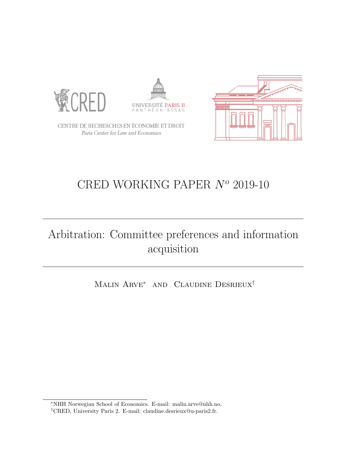





CENTRE DE RECHERCHES EN ÉCONOMIE ET DROIT Paris Center for Law and Economics

# CRED WORKING PAPER  $N^o$  2019-10

# Arbitration: Committee preferences and information acquisition

Malin Arve<sup>∗</sup> and Claudine Desrieux†

<sup>∗</sup>NHH Norwegian School of Economics. E-mail: malin.arve@nhh.no.

<sup>†</sup>CRED, University Paris 2. E-mail: claudine.desrieux@u-paris2.fr.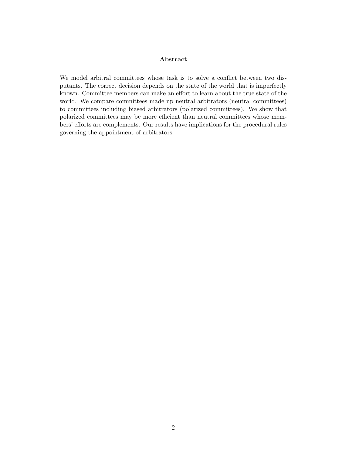#### Abstract

We model arbitral committees whose task is to solve a conflict between two disputants. The correct decision depends on the state of the world that is imperfectly known. Committee members can make an effort to learn about the true state of the world. We compare committees made up neutral arbitrators (neutral committees) to committees including biased arbitrators (polarized committees). We show that polarized committees may be more efficient than neutral committees whose members' efforts are complements. Our results have implications for the procedural rules governing the appointment of arbitrators.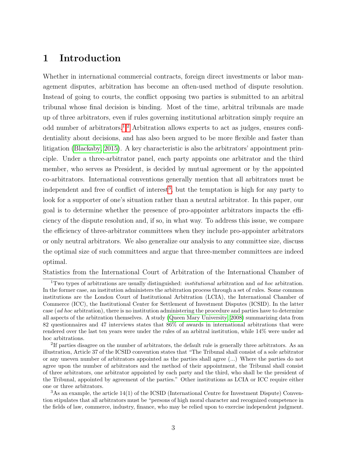# 1 Introduction

Whether in international commercial contracts, foreign direct investments or labor management disputes, arbitration has become an often-used method of dispute resolution. Instead of going to courts, the conflict opposing two parties is submitted to an arbitral tribunal whose final decision is binding. Most of the time, arbitral tribunals are made up of three arbitrators, even if rules governing institutional arbitration simply require an odd number of arbitrators.[1,](#page-2-0)[2](#page-2-1) Arbitration allows experts to act as judges, ensures confidentiality about decisions, and has also been argued to be more flexible and faster than litigation [\(Blackaby, 2015\)](#page-36-0). A key characteristic is also the arbitrators' appointment principle. Under a three-arbitrator panel, each party appoints one arbitrator and the third member, who serves as President, is decided by mutual agreement or by the appointed co-arbitrators. International conventions generally mention that all arbitrators must be independent and free of conflict of interest<sup>[3](#page-2-2)</sup>, but the temptation is high for any party to look for a supporter of one's situation rather than a neutral arbitrator. In this paper, our goal is to determine whether the presence of pro-appointer arbitrators impacts the efficiency of the dispute resolution and, if so, in what way. To address this issue, we compare the efficiency of three-arbitrator committees when they include pro-appointer arbitrators or only neutral arbitrators. We also generalize our analysis to any committee size, discuss the optimal size of such committees and argue that three-member committees are indeed optimal.

Statistics from the International Court of Arbitration of the International Chamber of

<span id="page-2-0"></span><sup>&</sup>lt;sup>1</sup>Two types of arbitrations are usually distinguished: *institutional* arbitration and *ad hoc* arbitration. In the former case, an institution administers the arbitration process through a set of rules. Some common institutions are the London Court of Institutional Arbitration (LCIA), the International Chamber of Commerce (ICC), the Institutional Center for Settlement of Investment Disputes (ICSID). In the latter case (ad hoc arbitration), there is no institution administering the procedure and parties have to determine all aspects of the arbitration themselves. A study [\(Queen Mary University, 2008\)](#page-39-0) summarizing data from 82 questionnaires and 47 interviews states that 86% of awards in international arbitrations that were rendered over the last ten years were under the rules of an arbitral institution, while 14% were under ad hoc arbitrations.

<span id="page-2-1"></span><sup>&</sup>lt;sup>2</sup>If parties disagree on the number of arbitrators, the default rule is generally three arbitrators. As an illustration, Article 37 of the ICSID convention states that "The Tribunal shall consist of a sole arbitrator or any uneven number of arbitrators appointed as the parties shall agree (...) Where the parties do not agree upon the number of arbitrators and the method of their appointment, the Tribunal shall consist of three arbitrators, one arbitrator appointed by each party and the third, who shall be the president of the Tribunal, appointed by agreement of the parties." Other institutions as LCIA or ICC require either one or three arbitrators.

<span id="page-2-2"></span><sup>3</sup>As an example, the article 14(1) of the ICSID (International Centre for Investment Dispute) Convention stipulates that all arbitrators must be "persons of high moral character and recognized competence in the fields of law, commerce, industry, finance, who may be relied upon to exercise independent judgment.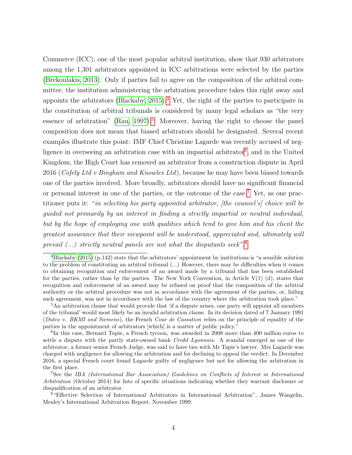Commerce (ICC), one of the most popular arbitral institution, show that 930 arbitrators among the 1,301 arbitrators appointed in ICC arbitrations were selected by the parties [\(Brekoulakis, 2013\)](#page-36-1). Only if parties fail to agree on the composition of the arbitral committee, the institution administering the arbitration procedure takes this right away and appoints the arbitrators (Blackaby,  $2015$ ).<sup>[4](#page-3-0)</sup> Yet, the right of the parties to participate in the constitution of arbitral tribunals is considered by many legal scholars as "the very essence of arbitration" [\(Rau, 1997\)](#page-39-1).<sup>[5](#page-3-1)</sup> Moreover, having the right to choose the panel composition does not mean that biased arbitrators should be designated. Several recent examples illustrate this point: IMF Chief Christine Lagarde was recently accused of neg-ligence in overseeing an arbitration case with an impartial arbitrator<sup>[6](#page-3-2)</sup>, and in the United Kingdom, the High Court has removed an arbitrator from a construction dispute in April 2016 (Cofely Ltd v Bingham and Knowles Ltd), because he may have been biased towards one of the parties involved. More broadly, arbitrators should have no significant financial or personal interest in one of the parties, or the outcome of the case.[7](#page-3-3) Yet, as one practitioner puts it: "in selecting his party appointed arbitrator, [the counsel's] choice will be guided not primarily by an interest in finding a strictly impartial or neutral individual, but by the hope of employing one with qualities which tend to give him and his client the greatest assurance that their viewpoint will be understood, appreciated and, ultimately will prevail  $(...)$  strictly neutral panels are not what the disputants seek".<sup>[8](#page-3-4)</sup>

<span id="page-3-0"></span> $^{4}$ [Blackaby](#page-36-0) [\(2015\)](#page-36-0) (p.142) state that the arbitrators' appointment by institutions is "a sensible solution to the problem of constituting an arbitral tribunal (...) However, there may be difficulties when it comes to obtaining recognition and enforcement of an award made by a tribunal that has been established for the parties, rather than by the parties. The New York Convention, in Article  $V(1)$  (d), states that recognition and enforcement of an award may be refused on proof that the composition of the arbitral authority or the arbitral procedure was not in accordance with the agreement of the parties, or, failing such agreement, was not in accordance with the law of the country where the arbitration took place."

<span id="page-3-1"></span><sup>5</sup>An arbitration clause that would provide that 'if a dispute arises, one party will appoint all members of the tribunal' would most likely be an invalid arbitration clause. In its decision dated of 7 January 1991 (Dutco v. BKMI and Siemens), the French Cour de Cassation relies on the principle of equality of the parties in the appointment of arbitrators [which] is a matter of public policy."

<span id="page-3-2"></span><sup>&</sup>lt;sup>6</sup>In this case, Bernard Tapie, a French tycoon, was awarded in 2008 more than 400 million euros to settle a dispute with the partly state-owned bank *Credit Lyonnais*. A scandal emerged as one of the arbitrator, a former senior French Judge, was said to have ties with Mr Tapie's lawyer. Mrs Lagarde was charged with negligence for allowing the arbitration and for declining to appeal the verdict. In December 2016, a special French court found Lagarde guilty of negligence but not for allowing the arbitration in the first place.

<span id="page-3-3"></span><sup>7</sup>See the IBA (International Bar Association) Guidelines on Conflicts of Interest in International Arbitration (October 2014) for lists of specific situations indicating whether they warrant disclosure or disqualification of an arbitrator.

<span id="page-3-4"></span><sup>8</sup>"Effective Selection of International Arbitrators in International Arbitration", James Wangelin, Mealey's International Arbitration Report, November 1999.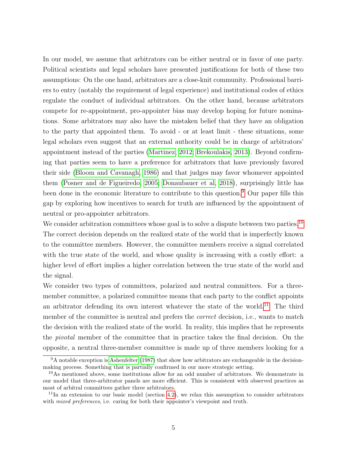In our model, we assume that arbitrators can be either neutral or in favor of one party. Political scientists and legal scholars have presented justifications for both of these two assumptions: On the one hand, arbitrators are a close-knit community. Professional barriers to entry (notably the requirement of legal experience) and institutional codes of ethics regulate the conduct of individual arbitrators. On the other hand, because arbitrators compete for re-appointment, pro-appointer bias may develop hoping for future nominations. Some arbitrators may also have the mistaken belief that they have an obligation to the party that appointed them. To avoid - or at least limit - these situations, some legal scholars even suggest that an external authority could be in charge of arbitrators' appointment instead of the parties [\(Martinez, 2012;](#page-38-0) [Brekoulakis, 2013\)](#page-36-1). Beyond confirming that parties seem to have a preference for arbitrators that have previously favored their side [\(Bloom and Cavanagh, 1986\)](#page-36-2) and that judges may favor whomever appointed them [\(Posner and de Figueiredo, 2005;](#page-39-2) [Donaubauer et al, 2018\)](#page-36-3), surprisingly little has been done in the economic literature to contribute to this question.<sup>[9](#page-4-0)</sup> Our paper fills this gap by exploring how incentives to search for truth are influenced by the appointment of neutral or pro-appointer arbitrators.

We consider arbitration committees whose goal is to solve a dispute between two parties.<sup>[10](#page-4-1)</sup> The correct decision depends on the realized state of the world that is imperfectly known to the committee members. However, the committee members receive a signal correlated with the true state of the world, and whose quality is increasing with a costly effort: a higher level of effort implies a higher correlation between the true state of the world and the signal.

We consider two types of committees, polarized and neutral committees. For a threemember committee, a polarized committee means that each party to the conflict appoints an arbitrator defending its own interest whatever the state of the world.<sup>[11](#page-4-2)</sup> The third member of the committee is neutral and prefers the *correct* decision, i.e., wants to match the decision with the realized state of the world. In reality, this implies that he represents the pivotal member of the committee that in practice takes the final decision. On the opposite, a neutral three-member committee is made up of three members looking for a

<span id="page-4-0"></span> $9A$  notable exception is [Ashenfelter](#page-36-4) [\(1987\)](#page-36-4) that show how arbitrators are exchangeable in the decisionmaking process. Something that is partially confirmed in our more strategic setting.

<span id="page-4-1"></span><sup>&</sup>lt;sup>10</sup>As mentioned above, some institutions allow for an odd number of arbitrators. We demonstrate in our model that three-arbitrator panels are more efficient. This is consistent with observed practices as most of arbitral committees gather three arbitrators.

<span id="page-4-2"></span> $11$ In an extension to our basic model (section [4.2\)](#page-18-0), we relax this assumption to consider arbitrators with *mixed preferences*, i.e. caring for both their appointer's viewpoint and truth.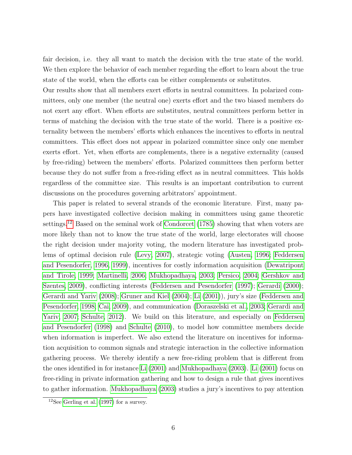fair decision, i.e. they all want to match the decision with the true state of the world. We then explore the behavior of each member regarding the effort to learn about the true state of the world, when the efforts can be either complements or substitutes.

Our results show that all members exert efforts in neutral committees. In polarized committees, only one member (the neutral one) exerts effort and the two biased members do not exert any effort. When efforts are substitutes, neutral committees perform better in terms of matching the decision with the true state of the world. There is a positive externality between the members' efforts which enhances the incentives to efforts in neutral committees. This effect does not appear in polarized committee since only one member exerts effort. Yet, when efforts are complements, there is a negative externality (caused by free-riding) between the members' efforts. Polarized committees then perform better because they do not suffer from a free-riding effect as in neutral committees. This holds regardless of the committee size. This results is an important contribution to current discussions on the procedures governing arbitrators' appointment.

This paper is related to several strands of the economic literature. First, many papers have investigated collective decision making in committees using game theoretic settings.<sup>[12](#page-5-0)</sup> Based on the seminal work of [Condorcet](#page-36-5) [\(1785\)](#page-36-5) showing that when voters are more likely than not to know the true state of the world, large electorates will choose the right decision under majority voting, the modern literature has investigated problems of optimal decision rule [\(Levy, 2007\)](#page-38-1), strategic voting [\(Austen, 1996;](#page-36-6) [Feddersen](#page-37-0) [and Pesendorfer, 1996,](#page-37-0) [1999\)](#page-37-1), incentives for costly information acquisition [\(Dewatripont](#page-36-7) [and Tirole, 1999;](#page-36-7) [Martinelli, 2006;](#page-38-2) [Mukhopadhaya, 2003;](#page-39-3) [Persico, 2004;](#page-39-4) [Gershkov and](#page-38-3) [Szentes, 2009\)](#page-38-3), conflicting interests [\(Feddersen and Pesendorfer](#page-37-2) [\(1997\)](#page-37-2); [Gerardi](#page-37-3) [\(2000\)](#page-37-3); [Gerardi and Yariv](#page-37-4) [\(2008\)](#page-37-4); [Gruner and Kiel](#page-38-4) [\(2004\)](#page-38-4); [Li](#page-38-5) [\(2001\)](#page-38-5)), jury's size [\(Feddersen and](#page-37-5) [Pesendorfer, 1998;](#page-37-5) [Cai, 2009\)](#page-36-8), and communication [\(Doraszelski et al., 2003;](#page-36-9) [Gerardi and](#page-37-6) [Yariv, 2007;](#page-37-6) [Schulte, 2012\)](#page-39-5). We build on this literature, and especially on [Feddersen](#page-37-5) [and Pesendorfer](#page-37-5) [\(1998\)](#page-37-5) and [Schulte](#page-39-6) [\(2010\)](#page-39-6), to model how committee members decide when information is imperfect. We also extend the literature on incentives for information acquisition to common signals and strategic interaction in the collective information gathering process. We thereby identify a new free-riding problem that is different from the ones identified in for instance [Li](#page-38-6) [\(2001\)](#page-38-6) and [Mukhopadhaya](#page-39-3) [\(2003\)](#page-39-3). [Li](#page-38-6) [\(2001\)](#page-38-6) focus on free-riding in private information gathering and how to design a rule that gives incentives to gather information. [Mukhopadhaya](#page-39-3) [\(2003\)](#page-39-3) studies a jury's incentives to pay attention

<span id="page-5-0"></span> $12$ See [Gerling et al.](#page-38-7) [\(1997\)](#page-38-7) for a survey.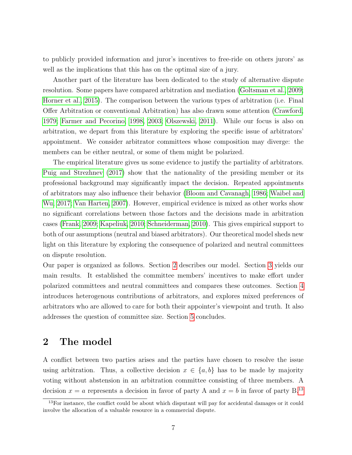to publicly provided information and juror's incentives to free-ride on others jurors' as well as the implications that this has on the optimal size of a jury.

Another part of the literature has been dedicated to the study of alternative dispute resolution. Some papers have compared arbitration and mediation [\(Goltsman et al., 2009;](#page-38-8) [Horner et al., 2015\)](#page-38-9). The comparison between the various types of arbitration (i.e. Final Offer Arbitration or conventional Arbitration) has also drawn some attention [\(Crawford,](#page-36-10) [1979;](#page-36-10) [Farmer and Pecorino, 1998,](#page-37-7) [2003;](#page-37-8) [Olszewski, 2011\)](#page-39-7). While our focus is also on arbitration, we depart from this literature by exploring the specific issue of arbitrators' appointment. We consider arbitrator committees whose composition may diverge: the members can be either neutral, or some of them might be polarized.

The empirical literature gives us some evidence to justify the partiality of arbitrators. [Puig and Strezhnev](#page-39-8) [\(2017\)](#page-39-8) show that the nationality of the presiding member or its professional background may significantly impact the decision. Repeated appointments of arbitrators may also influence their behavior [\(Bloom and Cavanagh, 1986;](#page-36-2) [Waibel and](#page-39-9) [Wu, 2017;](#page-39-9) [Van Harten, 2007\)](#page-39-10). However, empirical evidence is mixed as other works show no significant correlations between those factors and the decisions made in arbitration cases [\(Frank, 2009;](#page-37-9) [Kapeliuk, 2010;](#page-38-10) [Schneiderman, 2010\)](#page-39-11). This gives empirical support to both of our assumptions (neutral and biased arbitrators). Our theoretical model sheds new light on this literature by exploring the consequence of polarized and neutral committees on dispute resolution.

Our paper is organized as follows. Section [2](#page-6-0) describes our model. Section [3](#page-9-0) yields our main results. It established the committee members' incentives to make effort under polarized committees and neutral committees and compares these outcomes. Section [4](#page-15-0) introduces heterogenous contributions of arbitrators, and explores mixed preferences of arbitrators who are allowed to care for both their appointer's viewpoint and truth. It also addresses the question of committee size. Section [5](#page-27-0) concludes.

## <span id="page-6-0"></span>2 The model

A conflict between two parties arises and the parties have chosen to resolve the issue using arbitration. Thus, a collective decision  $x \in \{a, b\}$  has to be made by majority voting without abstension in an arbitration committee consisting of three members. A decision  $x = a$  represents a decision in favor of party A and  $x = b$  in favor of party B.<sup>[13](#page-6-1)</sup>

<span id="page-6-1"></span><sup>&</sup>lt;sup>13</sup>For instance, the conflict could be about which disputant will pay for accidental damages or it could involve the allocation of a valuable resource in a commercial dispute.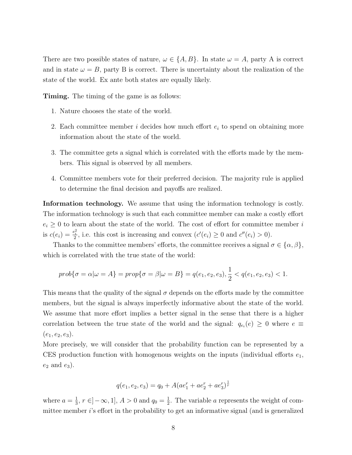There are two possible states of nature,  $\omega \in \{A, B\}$ . In state  $\omega = A$ , party A is correct and in state  $\omega = B$ , party B is correct. There is uncertainty about the realization of the state of the world. Ex ante both states are equally likely.

Timing. The timing of the game is as follows:

- 1. Nature chooses the state of the world.
- 2. Each committee member i decides how much effort  $e_i$  to spend on obtaining more information about the state of the world.
- 3. The committee gets a signal which is correlated with the efforts made by the members. This signal is observed by all members.
- 4. Committee members vote for their preferred decision. The majority rule is applied to determine the final decision and payoffs are realized.

Information technology. We assume that using the information technology is costly. The information technology is such that each committee member can make a costly effort  $e_i \geq 0$  to learn about the state of the world. The cost of effort for committee member i is  $c(e_i) = \frac{e_i^2}{2}$ , i.e. this cost is increasing and convex  $(c'(e_i) \ge 0$  and  $c''(e_i) > 0)$ .

Thanks to the committee members' efforts, the committee receives a signal  $\sigma \in {\alpha, \beta}$ , which is correlated with the true state of the world:

$$
prob{\sigma = \alpha | \omega = A} = prop{\sigma = \beta | \omega = B} = q(e_1, e_2, e_3), \frac{1}{2} < q(e_1, e_2, e_3) < 1.
$$

This means that the quality of the signal  $\sigma$  depends on the efforts made by the committee members, but the signal is always imperfectly informative about the state of the world. We assume that more effort implies a better signal in the sense that there is a higher correlation between the true state of the world and the signal:  $q_{e_i}(e) \geq 0$  where  $e \equiv$  $(e_1, e_2, e_3).$ 

More precisely, we will consider that the probability function can be represented by a CES production function with homogenous weights on the inputs (individual efforts  $e_1$ ,  $e_2$  and  $e_3$ ).

$$
q(e_1, e_2, e_3) = q_0 + A(ae_1^r + ae_2^r + ae_3^r)^{\frac{1}{r}}
$$

where  $a=\frac{1}{3}$  $\frac{1}{3}$ ,  $r \in ]-\infty, 1]$ ,  $A > 0$  and  $q_0 = \frac{1}{2}$  $\frac{1}{2}$ . The variable *a* represents the weight of committee member i's effort in the probability to get an informative signal (and is generalized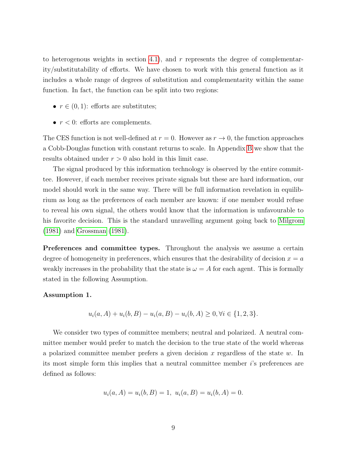to heterogenous weights in section [4.1\)](#page-15-1), and  $r$  represents the degree of complementarity/substitutability of efforts. We have chosen to work with this general function as it includes a whole range of degrees of substitution and complementarity within the same function. In fact, the function can be split into two regions:

- $r \in (0,1)$ : efforts are substitutes;
- $r < 0$ : efforts are complements.

The CES function is not well-defined at  $r = 0$ . However as  $r \to 0$ , the function approaches a Cobb-Douglas function with constant returns to scale. In Appendix [B](#page-32-0) we show that the results obtained under  $r > 0$  also hold in this limit case.

The signal produced by this information technology is observed by the entire committee. However, if each member receives private signals but these are hard information, our model should work in the same way. There will be full information revelation in equilibrium as long as the preferences of each member are known: if one member would refuse to reveal his own signal, the others would know that the information is unfavourable to his favorite decision. This is the standard unravelling argument going back to [Milgrom](#page-38-11) [\(1981\)](#page-38-11) and [Grossman](#page-38-12) [\(1981\)](#page-38-12).

Preferences and committee types. Throughout the analysis we assume a certain degree of homogeneity in preferences, which ensures that the desirability of decision  $x = a$ weakly increases in the probability that the state is  $\omega = A$  for each agent. This is formally stated in the following Assumption.

#### Assumption 1.

$$
u_i(a, A) + u_i(b, B) - u_i(a, B) - u_i(b, A) \ge 0, \forall i \in \{1, 2, 3\}.
$$

We consider two types of committee members; neutral and polarized. A neutral committee member would prefer to match the decision to the true state of the world whereas a polarized committee member prefers a given decision x regardless of the state  $w$ . In its most simple form this implies that a neutral committee member i's preferences are defined as follows:

$$
u_i(a, A) = u_i(b, B) = 1, \ u_i(a, B) = u_i(b, A) = 0.
$$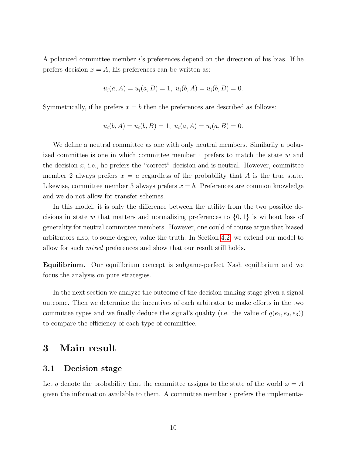A polarized committee member i's preferences depend on the direction of his bias. If he prefers decision  $x = A$ , his preferences can be written as:

$$
u_i(a, A) = u_i(a, B) = 1, \ u_i(b, A) = u_i(b, B) = 0.
$$

Symmetrically, if he prefers  $x = b$  then the preferences are described as follows:

$$
u_i(b, A) = u_i(b, B) = 1, \ u_i(a, A) = u_i(a, B) = 0.
$$

We define a neutral committee as one with only neutral members. Similarily a polarized committee is one in which committee member 1 prefers to match the state w and the decision  $x$ , i.e., he prefers the "correct" decision and is neutral. However, committee member 2 always prefers  $x = a$  regardless of the probability that A is the true state. Likewise, committee member 3 always prefers  $x = b$ . Preferences are common knowledge and we do not allow for transfer schemes.

In this model, it is only the difference between the utility from the two possible decisions in state w that matters and normalizing preferences to  $\{0, 1\}$  is without loss of generality for neutral committee members. However, one could of course argue that biased arbitrators also, to some degree, value the truth. In Section [4.2,](#page-18-0) we extend our model to allow for such mixed preferences and show that our result still holds.

Equilibrium. Our equilibrium concept is subgame-perfect Nash equilibrium and we focus the analysis on pure strategies.

In the next section we analyze the outcome of the decision-making stage given a signal outcome. Then we determine the incentives of each arbitrator to make efforts in the two committee types and we finally deduce the signal's quality (i.e. the value of  $q(e_1, e_2, e_3)$ ) to compare the efficiency of each type of committee.

# <span id="page-9-0"></span>3 Main result

#### 3.1 Decision stage

Let q denote the probability that the committee assigns to the state of the world  $\omega = A$ given the information available to them. A committee member  $i$  prefers the implementa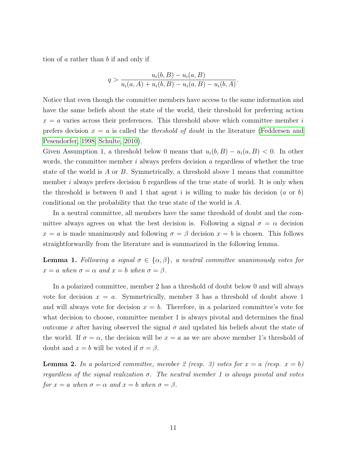tion of a rather than b if and only if

$$
q > \frac{u_i(b, B) - u_i(a, B)}{u_i(a, A) + u_i(b, B) - u_i(a, B) - u_i(b, A)}.
$$

Notice that even though the committee members have access to the same information and have the same beliefs about the state of the world, their threshold for preferring action  $x = a$  varies across their preferences. This threshold above which committee member i prefers decision  $x = a$  is called the *threshold of doubt* in the literature [\(Feddersen and](#page-37-5) [Pesendorfer, 1998;](#page-37-5) [Schulte, 2010\)](#page-39-6).

Given Assumption 1, a threshold below 0 means that  $u_i(b, B) - u_i(a, B) < 0$ . In other words, the committee member  $i$  always prefers decision  $a$  regardless of whether the true state of the world is A or B. Symmetrically, a threshold above 1 means that committee member i always prefers decision b regardless of the true state of world. It is only when the threshold is between 0 and 1 that agent i is willing to make his decision  $(a \text{ or } b)$ conditional on the probability that the true state of the world is A.

In a neutral committee, all members have the same threshold of doubt and the committee always agrees on what the best decision is. Following a signal  $\sigma = \alpha$  decision  $x = a$  is made unanimously and following  $\sigma = \beta$  decision  $x = b$  is chosen. This follows straightforwardly from the literature and is summarized in the following lemma.

**Lemma 1.** Following a signal  $\sigma \in \{\alpha, \beta\}$ , a neutral committee unanimously votes for  $x = a$  when  $\sigma = \alpha$  and  $x = b$  when  $\sigma = \beta$ .

In a polarized committee, member 2 has a threshold of doubt below 0 and will always vote for decision  $x = a$ . Symmetrically, member 3 has a threshold of doubt above 1 and will always vote for decision  $x = b$ . Therefore, in a polarized committee's vote for what decision to choose, committee member 1 is always pivotal and determines the final outcome x after having observed the signal  $\sigma$  and updated his beliefs about the state of the world. If  $\sigma = \alpha$ , the decision will be  $x = a$  as we are above member 1's threshold of doubt and  $x = b$  will be voted if  $\sigma = \beta$ .

<span id="page-10-0"></span>**Lemma 2.** In a polarized committee, member 2 (resp. 3) votes for  $x = a$  (resp.  $x = b$ ) regardless of the signal realization  $\sigma$ . The neutral member 1 is always pivotal and votes for  $x = a$  when  $\sigma = \alpha$  and  $x = b$  when  $\sigma = \beta$ .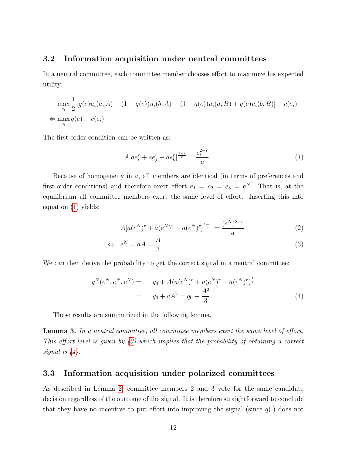#### <span id="page-11-3"></span>3.2 Information acquisition under neutral committees

In a neutral committee, each committee member chooses effort to maximize his expected utility:

$$
\max_{e_i} \frac{1}{2} [q(e)u_i(a, A) + (1 - q(e))u_i(b, A) + (1 - q(e))u_i(a, B) + q(e)u_i(b, B)] - c(e_i)
$$
  

$$
\Leftrightarrow \max_{e_i} q(e) - c(e_i).
$$

The first-order condition can be written as:

<span id="page-11-0"></span>
$$
A[ae_i^r + ae_j^r + ae_k^r]^\frac{1-r}{r} = \frac{e_i^{2-r}}{a}.\tag{1}
$$

Because of homogeneity in a, all members are identical (in terms of preferences and first-order conditions) and therefore exert effort  $e_1 = e_2 = e_3 = e^N$ . That is, at the equilibrium all committee members exert the same level of effort. Inserting this into equation [\(1\)](#page-11-0) yields:

<span id="page-11-1"></span>
$$
A[a(e^N)^r + a(e^N)^r + a(e^N)^r]^\frac{1-r}{r} = \frac{(e^N)^{2-r}}{a} \tag{2}
$$

$$
\Leftrightarrow e^N = aA = \frac{A}{3}.\tag{3}
$$

We can then derive the probability to get the correct signal in a neutral committee:

<span id="page-11-2"></span>
$$
q^{N}(e^{N}, e^{N}, e^{N}) = q_{0} + A(a(e^{N})^{r} + a(e^{N})^{r} + a(e^{N})^{r})^{\frac{1}{r}}
$$
  
=  $q_{0} + aA^{2} = q_{0} + \frac{A^{2}}{3}.$  (4)

These results are summarized in the following lemma.

Lemma 3. In a neutral committee, all committee members exert the same level of effort. This effort level is given by [\(3\)](#page-11-1) which implies that the probability of obtaining a correct signal is [\(4\)](#page-11-2).

#### <span id="page-11-4"></span>3.3 Information acquisition under polarized committees

As described in Lemma [2,](#page-10-0) committee members 2 and 3 vote for the same candidate decision regardless of the outcome of the signal. It is therefore straightforward to conclude that they have no incentive to put effort into improving the signal (since  $q(.)$  does not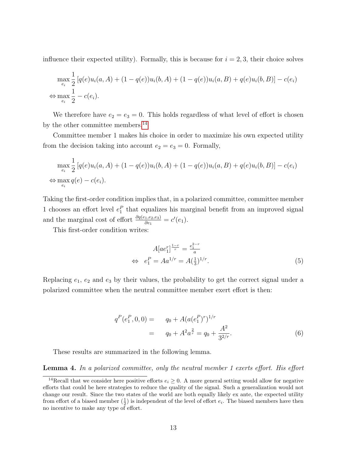influence their expected utility). Formally, this is because for  $i = 2, 3$ , their choice solves

$$
\max_{e_i} \frac{1}{2} [q(e)u_i(a, A) + (1 - q(e))u_i(b, A) + (1 - q(e))u_i(a, B) + q(e)u_i(b, B)] - c(e_i)
$$
  

$$
\Leftrightarrow \max_{e_i} \frac{1}{2} - c(e_i).
$$

We therefore have  $e_2 = e_3 = 0$ . This holds regardless of what level of effort is chosen by the other committee members.<sup>[14](#page-12-0)</sup>

Committee member 1 makes his choice in order to maximize his own expected utility from the decision taking into account  $e_2 = e_3 = 0$ . Formally,

$$
\max_{e_i} \frac{1}{2} [q(e)u_i(a, A) + (1 - q(e))u_i(b, A) + (1 - q(e))u_i(a, B) + q(e)u_i(b, B)] - c(e_i)
$$
  

$$
\Leftrightarrow \max_{e_i} q(e) - c(e_i).
$$

Taking the first-order condition implies that, in a polarized committee, committee member 1 chooses an effort level  $e_1^P$  that equalizes his marginal benefit from an improved signal and the marginal cost of effort  $\frac{\partial q(e_1, e_2, e_3)}{\partial e_1} = c'(e_1)$ .

This first-order condition writes:

<span id="page-12-1"></span>
$$
A[ae_1^r]^\frac{1-r}{r} = \frac{e_1^{2-r}}{a}
$$
  
\n
$$
\Leftrightarrow e_1^P = Aa^{1/r} = A(\frac{1}{3})^{1/r}.
$$
\n(5)

Replacing  $e_1, e_2$  and  $e_3$  by their values, the probability to get the correct signal under a polarized committee when the neutral committee member exert effort is then:

<span id="page-12-2"></span>
$$
q^{P}(e_1^{P}, 0, 0) = q_0 + A(a(e_1^{P})^r)^{1/r}
$$
  
=  $q_0 + A^2 a^{\frac{2}{r}} = q_0 + \frac{A^2}{3^{2/r}}.$  (6)

These results are summarized in the following lemma.

Lemma 4. In a polarized committee, only the neutral member 1 exerts effort. His effort

<span id="page-12-0"></span><sup>&</sup>lt;sup>14</sup>Recall that we consider here positive efforts  $e_i \geq 0$ . A more general setting would allow for negative efforts that could be here strategies to reduce the quality of the signal. Such a generalization would not change our result. Since the two states of the world are both equally likely ex ante, the expected utility from effort of a biased member  $(\frac{1}{2})$  is independent of the level of effort  $e_i$ . The biased members have then no incentive to make any type of effort.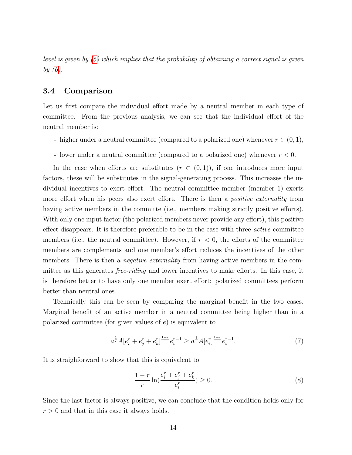level is given by [\(5\)](#page-12-1) which implies that the probability of obtaining a correct signal is given by [\(6\)](#page-12-2).

#### 3.4 Comparison

Let us first compare the individual effort made by a neutral member in each type of committee. From the previous analysis, we can see that the individual effort of the neutral member is:

- higher under a neutral committee (compared to a polarized one) whenever  $r \in (0, 1)$ ,
- lower under a neutral committee (compared to a polarized one) whenever  $r < 0$ .

In the case when efforts are substitutes  $(r \in (0,1))$ , if one introduces more input factors, these will be substitutes in the signal-generating process. This increases the individual incentives to exert effort. The neutral committee member (member 1) exerts more effort when his peers also exert effort. There is then a *positive externality* from having active members in the committe (i.e., members making strictly positive efforts). With only one input factor (the polarized members never provide any effort), this positive effect disappears. It is therefore preferable to be in the case with three active committee members (i.e., the neutral committee). However, if  $r < 0$ , the efforts of the committee members are complements and one member's effort reduces the incentives of the other members. There is then a *negative externality* from having active members in the committee as this generates free-riding and lower incentives to make efforts. In this case, it is therefore better to have only one member exert effort: polarized committees perform better than neutral ones.

Technically this can be seen by comparing the marginal benefit in the two cases. Marginal benefit of an active member in a neutral committee being higher than in a polarized committee (for given values of  $e$ ) is equivalent to

$$
a^{\frac{1}{r}}A[e_i^r + e_j^r + e_k^r]^{\frac{1-r}{r}}e_i^{r-1} \ge a^{\frac{1}{r}}A[e_i^r]^{\frac{1-r}{r}}e_i^{r-1}.
$$
 (7)

It is straighforward to show that this is equivalent to

$$
\frac{1-r}{r}\ln(\frac{e_i^r + e_j^r + e_k^r}{e_i^r}) \ge 0.
$$
\n(8)

Since the last factor is always positive, we can conclude that the condition holds only for  $r > 0$  and that in this case it always holds.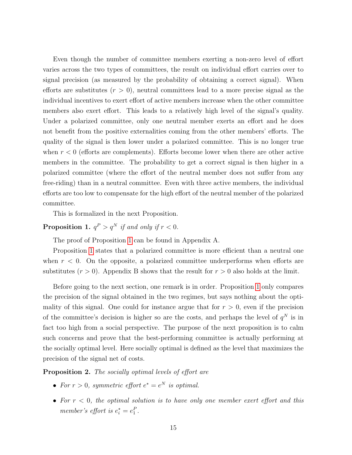Even though the number of committee members exerting a non-zero level of effort varies across the two types of committees, the result on individual effort carries over to signal precision (as measured by the probability of obtaining a correct signal). When efforts are substitutes  $(r > 0)$ , neutral committees lead to a more precise signal as the individual incentives to exert effort of active members increase when the other committee members also exert effort. This leads to a relatively high level of the signal's quality. Under a polarized committee, only one neutral member exerts an effort and he does not benefit from the positive externalities coming from the other members' efforts. The quality of the signal is then lower under a polarized committee. This is no longer true when  $r < 0$  (efforts are complements). Efforts become lower when there are other active members in the committee. The probability to get a correct signal is then higher in a polarized committee (where the effort of the neutral member does not suffer from any free-riding) than in a neutral committee. Even with three active members, the individual efforts are too low to compensate for the high effort of the neutral member of the polarized committee.

This is formalized in the next Proposition.

<span id="page-14-0"></span>**Proposition 1.**  $q^P > q^N$  if and only if  $r < 0$ .

The proof of Proposition [1](#page-14-0) can be found in Appendix A.

Proposition [1](#page-14-0) states that a polarized committee is more efficient than a neutral one when  $r < 0$ . On the opposite, a polarized committee underperforms when efforts are substitutes  $(r > 0)$ . Appendix B shows that the result for  $r > 0$  also holds at the limit.

Before going to the next section, one remark is in order. Proposition [1](#page-14-0) only compares the precision of the signal obtained in the two regimes, but says nothing about the optimality of this signal. One could for instance argue that for  $r > 0$ , even if the precision of the committee's decision is higher so are the costs, and perhaps the level of  $q^N$  is in fact too high from a social perspective. The purpose of the next proposition is to calm such concerns and prove that the best-performing committee is actually performing at the socially optimal level. Here socially optimal is defined as the level that maximizes the precision of the signal net of costs.

<span id="page-14-1"></span>Proposition 2. The socially optimal levels of effort are

- For  $r > 0$ , symmetric effort  $e^* = e^N$  is optimal.
- For  $r < 0$ , the optimal solution is to have only one member exert effort and this member's effort is  $e_i^* = e_1^P$ .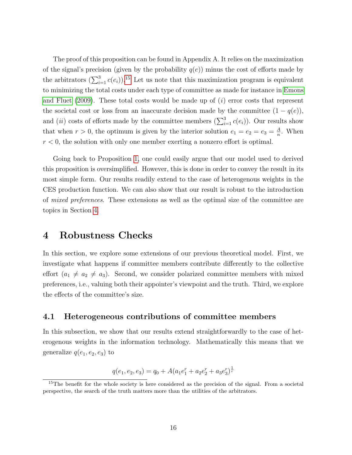The proof of this proposition can be found in Appendix A. It relies on the maximization of the signal's precision (given by the probability  $q(e)$ ) minus the cost of efforts made by the arbitrators  $(\sum_{i=1}^{3} c(e_i))$ .<sup>[15](#page-15-2)</sup> Let us note that this maximization program is equivalent to minimizing the total costs under each type of committee as made for instance in [Emons](#page-37-10) [and Fluet](#page-37-10) [\(2009\)](#page-37-10). These total costs would be made up of  $(i)$  error costs that represent the societal cost or loss from an inaccurate decision made by the committee  $(1 - q(e))$ , and (*ii*) costs of efforts made by the committee members  $(\sum_{i=1}^{3} c(e_i))$ . Our results show that when  $r > 0$ , the optimum is given by the interior solution  $e_1 = e_2 = e_3 = \frac{A}{n}$  $\frac{A}{n}$ . When  $r < 0$ , the solution with only one member exerting a nonzero effort is optimal.

Going back to Proposition [1,](#page-14-0) one could easily argue that our model used to derived this proposition is oversimplified. However, this is done in order to convey the result in its most simple form. Our results readily extend to the case of heterogenous weights in the CES production function. We can also show that our result is robust to the introduction of mixed preferences. These extensions as well as the optimal size of the committee are topics in Section [4.](#page-15-0)

# <span id="page-15-0"></span>4 Robustness Checks

In this section, we explore some extensions of our previous theoretical model. First, we investigate what happens if committee members contribute differently to the collective effort  $(a_1 \neq a_2 \neq a_3)$ . Second, we consider polarized committee members with mixed preferences, i.e., valuing both their appointer's viewpoint and the truth. Third, we explore the effects of the committee's size.

#### <span id="page-15-1"></span>4.1 Heterogeneous contributions of committee members

In this subsection, we show that our results extend straightforwardly to the case of heterogenous weights in the information technology. Mathematically this means that we generalize  $q(e_1, e_2, e_3)$  to

$$
q(e_1, e_2, e_3) = q_0 + A(a_1e_1^r + a_2e_2^r + a_3e_3^r)^{\frac{1}{r}}
$$

<span id="page-15-2"></span><sup>&</sup>lt;sup>15</sup>The benefit for the whole society is here considered as the precision of the signal. From a societal perspective, the search of the truth matters more than the utilities of the arbitrators.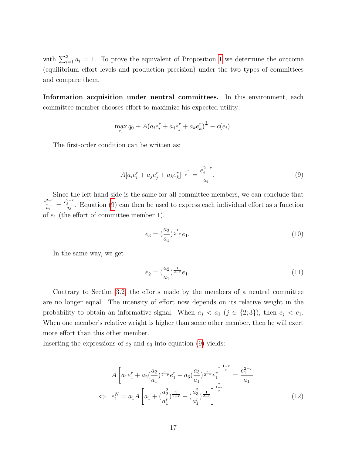with  $\sum_{i=1}^{3} a_i = 1$  $\sum_{i=1}^{3} a_i = 1$ . To prove the equivalent of Proposition 1 we determine the outcome (equilibrium effort levels and production precision) under the two types of committees and compare them.

Information acquisition under neutral committees. In this environment, each committee member chooses effort to maximize his expected utility:

$$
\max_{e_i} q_0 + A(a_i e_i^r + a_j e_j^r + a_k e_k^r)^{\frac{1}{r}} - c(e_i).
$$

The first-order condition can be written as:

<span id="page-16-0"></span>
$$
A[a_i e_i^r + a_j e_j^r + a_k e_k^r]^\frac{1-r}{r} = \frac{e_i^{2-r}}{a_i}.
$$
\n(9)

Since the left-hand side is the same for all committee members, we can conclude that  $\frac{e_1^{2-r}}{a_1} = \frac{e_3^{2-r}}{a_3}$ . Equation [\(9\)](#page-16-0) can then be used to express each individual effort as a function of  $e_1$  (the effort of committee member 1).

$$
e_3 = \left(\frac{a_3}{a_1}\right)^{\frac{1}{2-r}} e_1. \tag{10}
$$

In the same way, we get

$$
e_2 = \left(\frac{a_2}{a_1}\right)^{\frac{1}{2-r}} e_1. \tag{11}
$$

Contrary to Section [3.2,](#page-11-3) the efforts made by the members of a neutral committee are no longer equal. The intensity of effort now depends on its relative weight in the probability to obtain an informative signal. When  $a_j < a_1$  ( $j \in \{2,3\}$ ), then  $e_j < e_1$ . When one member's relative weight is higher than some other member, then he will exert more effort than this other member.

Inserting the expressions of  $e_2$  and  $e_3$  into equation [\(9\)](#page-16-0) yields:

$$
A\left[a_1e_1^r + a_2\left(\frac{a_2}{a_1}\right)^{\frac{r}{2-r}}e_1^r + a_3\left(\frac{a_3}{a_1}\right)^{\frac{r}{2-r}}e_1^r\right]^{\frac{1-r}{r}} = \frac{e_1^{2-r}}{a_1}
$$
  
\n
$$
\Leftrightarrow e_1^N = a_1A\left[a_1 + \left(\frac{a_2^2}{a_1^r}\right)^{\frac{1}{2-r}} + \left(\frac{a_3^2}{a_1^r}\right)^{\frac{1}{2-r}}\right]^{\frac{1-r}{r}}.
$$
\n(12)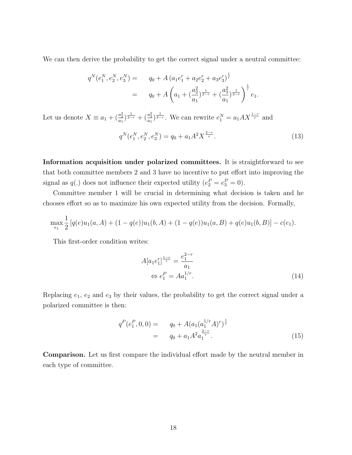We can then derive the probability to get the correct signal under a neutral committee:

$$
q^N(e_1^N, e_2^N, e_3^N) = q_0 + A \left( a_1 e_1^r + a_2 e_2^r + a_3 e_3^r \right)^{\frac{1}{r}}
$$
  
=  $q_0 + A \left( a_1 + \left( \frac{a_2^2}{a_1} \right)^{\frac{1}{2-r}} + \left( \frac{a_3^2}{a_1} \right)^{\frac{1}{2-r}} \right)^{\frac{1}{r}} e_1.$ 

Let us denote  $X \equiv a_1 + (\frac{a_2^2}{a_1})^{\frac{1}{2-r}} + (\frac{a_3^2}{a_1})^{\frac{1}{2-r}}$ . We can rewrite  $e_1^N = a_1 A X^{\frac{1-r}{r}}$  and

$$
q^N(e_1^N, e_2^N, e_3^N) = q_0 + a_1 A^2 X^{\frac{2-r}{r}}.
$$
\n(13)

Information acquisition under polarized committees. It is straightforward to see that both committee members 2 and 3 have no incentive to put effort into improving the signal as  $q(.)$  does not influence their expected utility  $(e_2^P = e_3^P = 0)$ .

Committee member 1 will be crucial in determining what decision is taken and he chooses effort so as to maximize his own expected utility from the decision. Formally,

$$
\max_{e_1} \frac{1}{2} [q(e)u_1(a,A) + (1-q(e))u_1(b,A) + (1-q(e))u_1(a,B) + q(e)u_1(b,B)] - c(e_1).
$$

This first-order condition writes:

$$
A[a_1e_1^r]^{\frac{1-r}{r}} = \frac{e_1^{2-r}}{a_1}
$$
  
\n
$$
\Leftrightarrow e_1^P = A a_1^{1/r}.
$$
\n(14)

Replacing  $e_1, e_2$  and  $e_3$  by their values, the probability to get the correct signal under a polarized committee is then:

$$
q^{P}(e_1^{P}, 0, 0) = q_0 + A(a_1(a_1^{1/r}A)^r)^{\frac{1}{r}}
$$
  
=  $q_0 + a_1 A^2 a_1^{\frac{2-r}{r}}$ . (15)

Comparison. Let us first compare the individual effort made by the neutral member in each type of committee.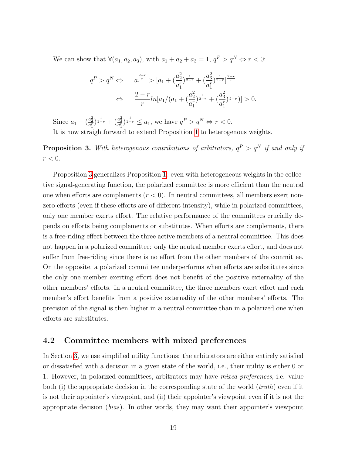We can show that  $\forall (a_1, a_2, a_3)$ , with  $a_1 + a_2 + a_3 = 1$ ,  $q^P > q^N \Leftrightarrow r < 0$ :

<span id="page-18-2"></span>
$$
q^{P} > q^{N} \Leftrightarrow a_{1}^{\frac{2-r}{r}} > [a_{1} + (\frac{a_{2}^{2}}{a_{1}^{r}})^{\frac{1}{2-r}} + (\frac{a_{3}^{2}}{a_{1}^{r}})^{\frac{1}{2-r}}]^{\frac{2-r}{r}}
$$
  

$$
\Leftrightarrow \frac{2-r}{r} ln[a_{1}/(a_{1} + (\frac{a_{2}^{2}}{a_{1}^{r}})^{\frac{1}{2-r}} + (\frac{a_{3}^{2}}{a_{1}^{r}})^{\frac{1}{2-r}})] > 0.
$$

Since  $a_1 + \left(\frac{a_2^2}{a_1^r}\right)^{\frac{1}{2-r}} + \left(\frac{a_3^2}{a_1^r}\right)^{\frac{1}{2-r}} \le a_1$ , we have  $q^P > q^N \Leftrightarrow r < 0$ .

It is now straightforward to extend Proposition [1](#page-14-0) to heterogenous weights.

<span id="page-18-1"></span>**Proposition 3.** With heterogenous contributions of arbitrators,  $q^P > q^N$  if and only if  $r < 0$ .

Proposition [3](#page-18-1) generalizes Proposition [1:](#page-14-0) even with heterogeneous weights in the collective signal-generating function, the polarized committee is more efficient than the neutral one when efforts are complements  $(r < 0)$ . In neutral committees, all members exert nonzero efforts (even if these efforts are of different intensity), while in polarized committees, only one member exerts effort. The relative performance of the committees crucially depends on efforts being complements or substitutes. When efforts are complements, there is a free-riding effect between the three active members of a neutral committee. This does not happen in a polarized committee: only the neutral member exerts effort, and does not suffer from free-riding since there is no effort from the other members of the committee. On the opposite, a polarized committee underperforms when efforts are substitutes since the only one member exerting effort does not benefit of the positive externality of the other members' efforts. In a neutral committee, the three members exert effort and each member's effort benefits from a positive externality of the other members' efforts. The precision of the signal is then higher in a neutral committee than in a polarized one when efforts are substitutes.

#### <span id="page-18-0"></span>4.2 Committee members with mixed preferences

In Section [3,](#page-9-0) we use simplified utility functions: the arbitrators are either entirely satisfied or dissatisfied with a decision in a given state of the world, i.e., their utility is either 0 or 1. However, in polarized committees, arbitrators may have mixed preferences, i.e. value both (i) the appropriate decision in the corresponding state of the world  $(truth)$  even if it is not their appointer's viewpoint, and (ii) their appointer's viewpoint even if it is not the appropriate decision (bias). In other words, they may want their appointer's viewpoint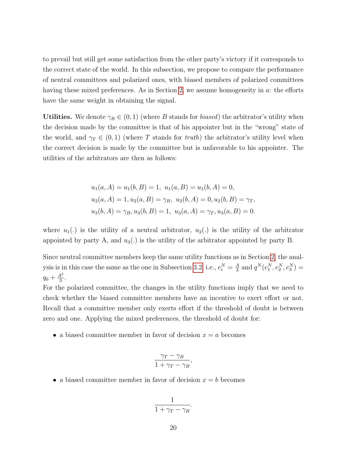to prevail but still get some satisfaction from the other party's victory if it corresponds to the correct state of the world. In this subsection, we propose to compare the performance of neutral committees and polarized ones, with biased members of polarized committees having these mixed preferences. As in Section [2,](#page-6-0) we assume homogeneity in a: the efforts have the same weight in obtaining the signal.

Utilities. We denote  $\gamma_B \in (0,1)$  (where B stands for *biased*) the arbitrator's utility when the decision made by the committee is that of his appointer but in the "wrong" state of the world, and  $\gamma_T \in (0,1)$  (where T stands for truth) the arbitrator's utility level when the correct decision is made by the committee but is unfavorable to his appointer. The utilities of the arbitrators are then as follows:

$$
u_1(a, A) = u_1(b, B) = 1, u_1(a, B) = u_1(b, A) = 0,
$$
  
\n
$$
u_2(a, A) = 1, u_2(a, B) = \gamma_B, u_2(b, A) = 0, u_2(b, B) = \gamma_T,
$$
  
\n
$$
u_3(b, A) = \gamma_B, u_3(b, B) = 1, u_3(a, A) = \gamma_T, u_3(a, B) = 0.
$$

where  $u_1(.)$  is the utility of a neutral arbitrator,  $u_2(.)$  is the utility of the arbitrator appointed by party A, and  $u_3(.)$  is the utility of the arbitrator appointed by party B.

Since neutral committee members keep the same utility functions as in Section [2,](#page-6-0) the anal-ysis is in this case the same as the one in Subsection [3.2,](#page-11-3) i.e.,  $e_i^N = \frac{A}{3}$  $\frac{A}{3}$  and  $q^N(e_1^N, e_2^N, e_3^N) =$  $q_0 + \frac{A^2}{3}$  $\frac{4^2}{3}$ .

For the polarized committee, the changes in the utility functions imply that we need to check whether the biased committee members have an incentive to exert effort or not. Recall that a committee member only exerts effort if the threshold of doubt is between zero and one. Applying the mixed preferences, the threshold of doubt for:

• a biased committee member in favor of decision  $x = a$  becomes

$$
\frac{\gamma_T - \gamma_B}{1 + \gamma_T - \gamma_B},
$$

• a biased committee member in favor of decision  $x = b$  becomes

$$
\frac{1}{1+\gamma_T-\gamma_B}.
$$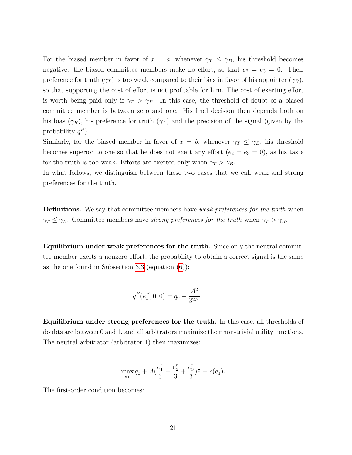For the biased member in favor of  $x = a$ , whenever  $\gamma_T \leq \gamma_B$ , his threshold becomes negative: the biased committee members make no effort, so that  $e_2 = e_3 = 0$ . Their preference for truth  $(\gamma_T)$  is too weak compared to their bias in favor of his appointer  $(\gamma_B)$ , so that supporting the cost of effort is not profitable for him. The cost of exerting effort is worth being paid only if  $\gamma_T > \gamma_B$ . In this case, the threshold of doubt of a biased committee member is between zero and one. His final decision then depends both on his bias  $(\gamma_B)$ , his preference for truth  $(\gamma_T)$  and the precision of the signal (given by the probability  $q^P$ ).

Similarly, for the biased member in favor of  $x = b$ , whenever  $\gamma_T \leq \gamma_B$ , his threshold becomes superior to one so that he does not exert any effort  $(e_2 = e_3 = 0)$ , as his taste for the truth is too weak. Efforts are exerted only when  $\gamma_T > \gamma_B$ .

In what follows, we distinguish between these two cases that we call weak and strong preferences for the truth.

**Definitions.** We say that committee members have *weak preferences for the truth* when  $\gamma_T \leq \gamma_B$ . Committee members have strong preferences for the truth when  $\gamma_T > \gamma_B$ .

Equilibrium under weak preferences for the truth. Since only the neutral committee member exerts a nonzero effort, the probability to obtain a correct signal is the same as the one found in Subsection 3.[3](#page-11-4) (equation [\(6\)](#page-12-2)):

$$
q^P(e_1^P, 0, 0) = q_0 + \frac{A^2}{3^{2/r}}.
$$

Equilibrium under strong preferences for the truth. In this case, all thresholds of doubts are between 0 and 1, and all arbitrators maximize their non-trivial utility functions. The neutral arbitrator (arbitrator 1) then maximizes:

$$
\max_{e_1} q_0 + A\left(\frac{e_1^r}{3} + \frac{e_2^r}{3} + \frac{e_3^r}{3}\right)^{\frac{1}{r}} - c(e_1).
$$

The first-order condition becomes: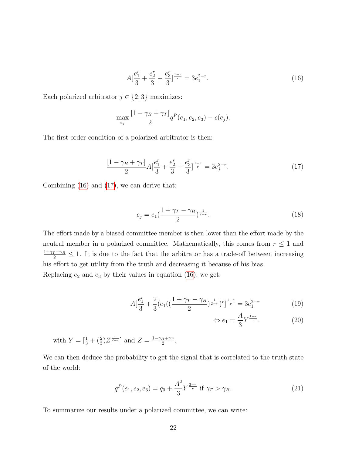$$
A\left[\frac{e_1^r}{3} + \frac{e_2^r}{3} + \frac{e_3^r}{3}\right]^{\frac{1-r}{r}} = 3e_1^{2-r}.\tag{16}
$$

Each polarized arbitrator  $j \in \{2, 3\}$  maximizes:

$$
\max_{e_j} \frac{[1 - \gamma_B + \gamma_T]}{2} q^P(e_1, e_2, e_3) - c(e_j).
$$

The first-order condition of a polarized arbitrator is then:

<span id="page-21-0"></span>
$$
\frac{[1-\gamma_B+\gamma_T]}{2}A\left[\frac{e_1^r}{3}+\frac{e_2^r}{3}+\frac{e_3^r}{3}\right]^{\frac{1-r}{r}}=3e_j^{2-r}.\tag{17}
$$

Combining [\(16\)](#page-18-2) and [\(17\)](#page-21-0), we can derive that:

$$
e_j = e_1 \left(\frac{1 + \gamma_T - \gamma_B}{2}\right)^{\frac{1}{2-r}}.
$$
\n(18)

The effort made by a biased committee member is then lower than the effort made by the neutral member in a polarized committee. Mathematically, this comes from  $r \leq 1$  and  $\frac{1+\gamma_T-\gamma_B}{2} \leq 1$ . It is due to the fact that the arbitrator has a trade-off between increasing his effort to get utility from the truth and decreasing it because of his bias. Replacing  $e_2$  and  $e_3$  by their values in equation [\(16\)](#page-18-2), we get:

$$
A\left[\frac{e_1^r}{3} + \frac{2}{3}\left(e_1\left((\frac{1+\gamma_T - \gamma_B}{2})^{\frac{1}{2-r}}\right)^r\right)^{\frac{1-r}{r}} = 3e_1^{2-r} \tag{19}
$$

$$
\Leftrightarrow e_1 = \frac{A}{3} Y^{\frac{1-r}{r}}.
$$
 (20)

with 
$$
Y = \left[\frac{1}{3} + \left(\frac{2}{3}\right)Z^{\frac{r}{2-r}}\right]
$$
 and  $Z = \frac{1 - \gamma_B + \gamma_T}{2}$ .

We can then deduce the probability to get the signal that is correlated to the truth state of the world:

$$
q^{P}(e_1, e_2, e_3) = q_0 + \frac{A^2}{3} Y^{\frac{2-r}{r}} \text{ if } \gamma_T > \gamma_B. \tag{21}
$$

To summarize our results under a polarized committee, we can write: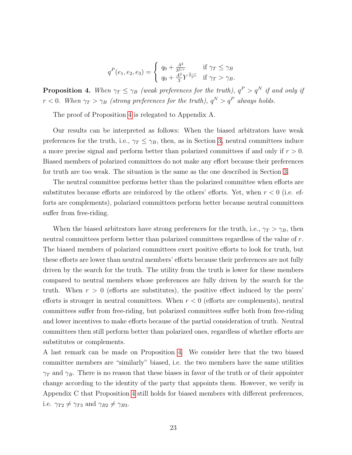$$
q^{P}(e_1, e_2, e_3) = \begin{cases} q_0 + \frac{A^2}{3^{2/r}} & \text{if } \gamma_T \le \gamma_B \\ q_0 + \frac{A^2}{3} Y^{\frac{2-r}{r}} & \text{if } \gamma_T > \gamma_B. \end{cases}
$$

<span id="page-22-0"></span>**Proposition 4.** When  $\gamma_T \leq \gamma_B$  (weak preferences for the truth),  $q^P > q^N$  if and only if  $r < 0$ . When  $\gamma_T > \gamma_B$  (strong preferences for the truth),  $q^N > q^P$  always holds.

The proof of Proposition [4](#page-22-0) is relegated to Appendix A.

Our results can be interpreted as follows: When the biased arbitrators have weak preferences for the truth, i.e.,  $\gamma_T \leq \gamma_B$ , then, as in Section [3,](#page-9-0) neutral committees induce a more precise signal and perform better than polarized committees if and only if  $r > 0$ . Biased members of polarized committees do not make any effort because their preferences for truth are too weak. The situation is the same as the one described in Section [3.](#page-9-0)

The neutral committee performs better than the polarized committee when efforts are substitutes because efforts are reinforced by the others' efforts. Yet, when  $r < 0$  (i.e. efforts are complements), polarized committees perform better because neutral committees suffer from free-riding.

When the biased arbitrators have strong preferences for the truth, i.e.,  $\gamma_T > \gamma_B$ , then neutral committees perform better than polarized committees regardless of the value of r. The biased members of polarized committees exert positive efforts to look for truth, but these efforts are lower than neutral members' efforts because their preferences are not fully driven by the search for the truth. The utility from the truth is lower for these members compared to neutral members whose preferences are fully driven by the search for the truth. When  $r > 0$  (efforts are substitutes), the positive effect induced by the peers' efforts is stronger in neutral committees. When  $r < 0$  (efforts are complements), neutral committees suffer from free-riding, but polarized committees suffer both from free-riding and lower incentives to make efforts because of the partial consideration of truth. Neutral committees then still perform better than polarized ones, regardless of whether efforts are substitutes or complements.

A last remark can be made on Proposition [4.](#page-22-0) We consider here that the two biased committee members are "similarly" biased, i.e. the two members have the same utilities  $\gamma_T$  and  $\gamma_B$ . There is no reason that these biases in favor of the truth or of their appointer change according to the identity of the party that appoints them. However, we verify in Appendix C that Proposition [4](#page-22-0) still holds for biased members with different preferences, i.e.  $\gamma_{T2} \neq \gamma_{T3}$  and  $\gamma_{B2} \neq \gamma_{B3}$ .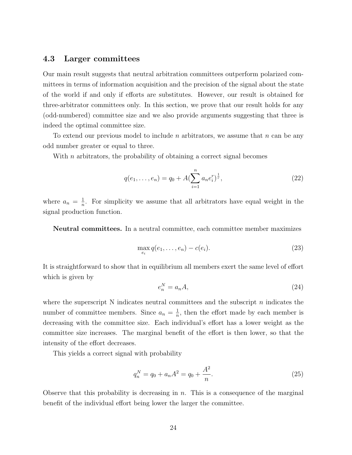#### 4.3 Larger committees

Our main result suggests that neutral arbitration committees outperform polarized committees in terms of information acquisition and the precision of the signal about the state of the world if and only if efforts are substitutes. However, our result is obtained for three-arbitrator committees only. In this section, we prove that our result holds for any (odd-numbered) committee size and we also provide arguments suggesting that three is indeed the optimal committee size.

To extend our previous model to include n arbitrators, we assume that  $n$  can be any odd number greater or equal to three.

With  $n$  arbitrators, the probability of obtaining a correct signal becomes

$$
q(e_1, \ldots, e_n) = q_0 + A \left(\sum_{i=1}^n a_n e_i^r\right)^{\frac{1}{r}},\tag{22}
$$

where  $a_n = \frac{1}{n}$  $\frac{1}{n}$ . For simplicity we assume that all arbitrators have equal weight in the signal production function.

Neutral committees. In a neutral committee, each committee member maximizes

$$
\max_{e_i} q(e_1, \dots, e_n) - c(e_i). \tag{23}
$$

It is straightforward to show that in equilibrium all members exert the same level of effort which is given by

$$
e_n^N = a_n A,\tag{24}
$$

where the superscript N indicates neutral committees and the subscript  $n$  indicates the number of committee members. Since  $a_n = \frac{1}{n}$  $\frac{1}{n}$ , then the effort made by each member is decreasing with the committee size. Each individual's effort has a lower weight as the committee size increases. The marginal benefit of the effort is then lower, so that the intensity of the effort decreases.

This yields a correct signal with probability

$$
q_n^N = q_0 + a_n A^2 = q_0 + \frac{A^2}{n}.
$$
\n(25)

Observe that this probability is decreasing in  $n$ . This is a consequence of the marginal benefit of the individual effort being lower the larger the committee.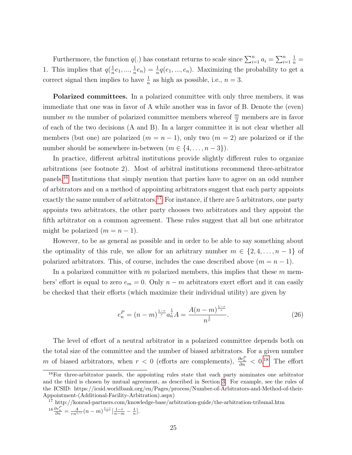Furthermore, the function  $q(.)$  has constant returns to scale since  $\sum_{i=1}^{n} a_i = \sum_{i=1}^{n} a_i$  $\frac{1}{n}$  = 1. This implies that  $q(\frac{1}{n})$  $\frac{1}{n}e_1, ..., \frac{1}{n}$  $(\frac{1}{n}e_n) = \frac{1}{n}q(e_1, ..., e_n)$ . Maximizing the probability to get a correct signal then implies to have  $\frac{1}{n}$  as high as possible, i.e.,  $n = 3$ .

Polarized committees. In a polarized committee with only three members, it was immediate that one was in favor of A while another was in favor of B. Denote the (even) number m the number of polarized committee members whereof  $\frac{m}{2}$  members are in favor of each of the two decisions (A and B). In a larger committee it is not clear whether all members (but one) are polarized  $(m = n - 1)$ , only two  $(m = 2)$  are polarized or if the number should be somewhere in-between  $(m \in \{4, \ldots, n-3\})$ .

In practice, different arbitral institutions provide slightly different rules to organize arbitrations (see footnote 2). Most of arbitral institutions recommend three-arbitrator panels.[16](#page-24-0) Institutions that simply mention that parties have to agree on an odd number of arbitrators and on a method of appointing arbitrators suggest that each party appoints exactly the same number of arbitrators.<sup>[17](#page-24-1)</sup> For instance, if there are 5 arbitrators, one party appoints two arbitrators, the other party chooses two arbitrators and they appoint the fifth arbitrator on a common agreement. These rules suggest that all but one arbitrator might be polarized  $(m = n - 1)$ .

However, to be as general as possible and in order to be able to say something about the optimality of this rule, we allow for an arbitrary number  $m \in \{2, 4, \ldots, n-1\}$  of polarized arbitrators. This, of course, includes the case described above  $(m = n - 1)$ .

In a polarized committee with m polarized members, this implies that these  $m$  members' effort is equal to zero  $e_m = 0$ . Only  $n - m$  arbitrators exert effort and it can easily be checked that their efforts (which maximize their individual utility) are given by

$$
e_n^P = (n - m)^{\frac{1 - r}{r}} a_n^{\frac{1}{r}} A = \frac{A(n - m)^{\frac{1 - r}{r}}}{n^{\frac{1}{r}}}.
$$
 (26)

The level of effort of a neutral arbitrator in a polarized committee depends both on the total size of the committee and the number of biased arbitrators. For a given number m of biased arbitrators, when  $r < 0$  (efforts are complements),  $\frac{\partial e_n^P}{\partial n} < 0.18$  $\frac{\partial e_n^P}{\partial n} < 0.18$  The effort

<span id="page-24-0"></span><sup>&</sup>lt;sup>16</sup>For three-arbitrator panels, the appointing rules state that each party nominates one arbitrator and the third is chosen by mutual agreement, as described in Section [3.](#page-9-0) For example, see the rules of the ICSID: https://icsid.worldbank.org/en/Pages/process/Number-of-Arbitrators-and-Method-of-their-Appointment-(Additional-Facility-Arbitration).aspx)

<span id="page-24-2"></span><span id="page-24-1"></span><sup>17</sup> http://konrad-partners.com/knowledge-base/arbitration-guide/the-arbitration-tribunal.htm  $18 \frac{\partial e_n^P}{\partial n} = \frac{A}{rn^{1/r}} (n-m)^{\frac{1-r}{r}} \left[ \frac{1-r}{n-m} - \frac{1}{n} \right].$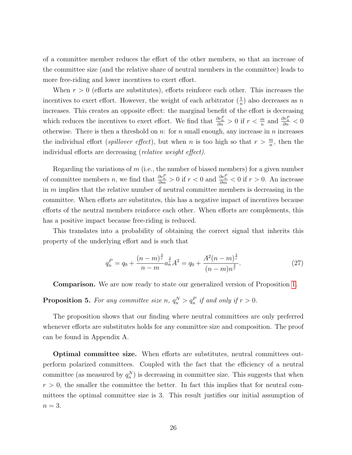of a committee member reduces the effort of the other members, so that an increase of the committee size (and the relative share of neutral members in the committee) leads to more free-riding and lower incentives to exert effort.

When  $r > 0$  (efforts are substitutes), efforts reinforce each other. This increases the incentives to exert effort. However, the weight of each arbitrator  $(\frac{1}{n})$  also decreases as n increases. This creates an opposite effect: the marginal benefit of the effort is decreasing which reduces the incentives to exert effort. We find that  $\frac{\partial e_n^P}{\partial n} > 0$  if  $r < \frac{m}{n}$  and  $\frac{\partial e_n^P}{\partial n} < 0$ otherwise. There is then a threshold on n: for n small enough, any increase in n increases the individual effort (*spillover effect*), but when *n* is too high so that  $r > \frac{m}{n}$ , then the individual efforts are decreasing (relative weight effect).

Regarding the variations of  $m$  (i.e., the number of biased members) for a given number of committee members *n*, we find that  $\frac{\partial e_n^P}{\partial m} > 0$  if  $r < 0$  and  $\frac{\partial e_n^P}{\partial m} < 0$  if  $r > 0$ . An increase in  $m$  implies that the relative number of neutral committee members is decreasing in the committee. When efforts are substitutes, this has a negative impact of incentives because efforts of the neutral members reinforce each other. When efforts are complements, this has a positive impact because free-riding is reduced.

This translates into a probability of obtaining the correct signal that inherits this property of the underlying effort and is such that

$$
q_n^P = q_0 + \frac{(n-m)^{\frac{2}{r}}}{n-m} a_n^{\frac{2}{r}} A^2 = q_0 + \frac{A^2 (n-m)^{\frac{2}{r}}}{(n-m)n^{\frac{2}{r}}}.
$$
 (27)

Comparison. We are now ready to state our generalized version of Proposition [1.](#page-14-0)

<span id="page-25-0"></span>**Proposition 5.** For any committee size n,  $q_n^N > q_n^P$  if and only if  $r > 0$ .

The proposition shows that our finding where neutral committees are only preferred whenever efforts are substitutes holds for any committee size and composition. The proof can be found in Appendix A.

Optimal committee size. When efforts are substitutes, neutral committees outperform polarized committees. Coupled with the fact that the efficiency of a neutral committee (as measured by  $q_n^N$ ) is decreasing in committee size. This suggests that when  $r > 0$ , the smaller the committee the better. In fact this implies that for neutral committees the optimal committee size is 3. This result justifies our initial assumption of  $n=3$ .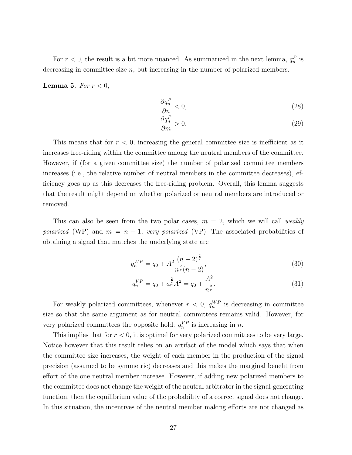For  $r < 0$ , the result is a bit more nuanced. As summarized in the next lemma,  $q_n^P$  is decreasing in committee size  $n$ , but increasing in the number of polarized members.

Lemma 5. For  $r < 0$ ,

$$
\frac{\partial q_n^P}{\partial n} < 0,\tag{28}
$$

$$
\frac{\partial q_n^P}{\partial m} > 0. \tag{29}
$$

This means that for  $r < 0$ , increasing the general committee size is inefficient as it increases free-riding within the committee among the neutral members of the committee. However, if (for a given committee size) the number of polarized committee members increases (i.e., the relative number of neutral members in the committee decreases), efficiency goes up as this decreases the free-riding problem. Overall, this lemma suggests that the result might depend on whether polarized or neutral members are introduced or removed.

This can also be seen from the two polar cases,  $m = 2$ , which we will call weakly polarized (WP) and  $m = n - 1$ , very polarized (VP). The associated probabilities of obtaining a signal that matches the underlying state are

$$
q_n^{WP} = q_0 + A^2 \frac{(n-2)^{\frac{2}{r}}}{n^{\frac{2}{r}}(n-2)},
$$
\n(30)

$$
q_n^{VP} = q_0 + a_n^{\frac{2}{r}} A^2 = q_0 + \frac{A^2}{n^{\frac{2}{r}}}.
$$
\n(31)

For weakly polarized committees, whenever  $r < 0$ ,  $q_n^{WP}$  is decreasing in committee size so that the same argument as for neutral committees remains valid. However, for very polarized committees the opposite hold:  $q_n^{VP}$  is increasing in n.

This implies that for  $r < 0$ , it is optimal for very polarized committees to be very large. Notice however that this result relies on an artifact of the model which says that when the committee size increases, the weight of each member in the production of the signal precision (assumed to be symmetric) decreases and this makes the marginal benefit from effort of the one neutral member increase. However, if adding new polarized members to the committee does not change the weight of the neutral arbitrator in the signal-generating function, then the equilibrium value of the probability of a correct signal does not change. In this situation, the incentives of the neutral member making efforts are not changed as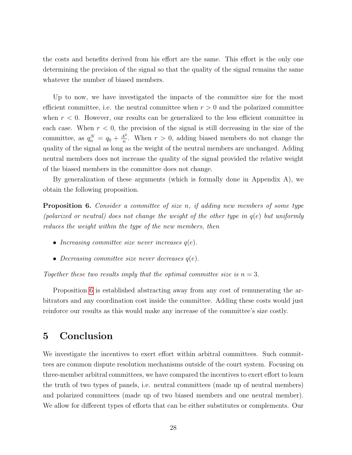the costs and benefits derived from his effort are the same. This effort is the only one determining the precision of the signal so that the quality of the signal remains the same whatever the number of biased members.

Up to now, we have investigated the impacts of the committee size for the most efficient committee, i.e. the neutral committee when  $r > 0$  and the polarized committee when  $r < 0$ . However, our results can be generalized to the less efficient committee in each case. When  $r < 0$ , the precision of the signal is still decreasing in the size of the committee, as  $q_n^N = q_0 + \frac{A^2}{n}$  $\frac{4^2}{n}$ . When  $r > 0$ , adding biased members do not change the quality of the signal as long as the weight of the neutral members are unchanged. Adding neutral members does not increase the quality of the signal provided the relative weight of the biased members in the committee does not change.

By generalization of these arguments (which is formally done in Appendix A), we obtain the following proposition.

<span id="page-27-1"></span>**Proposition 6.** Consider a committee of size n, if adding new members of some type (polarized or neutral) does not change the weight of the other type in  $q(e)$  but uniformly reduces the weight within the type of the new members, then

- Increasing committee size never increases  $q(e)$ .
- Decreasing committee size never decreases  $q(e)$ .

Together these two results imply that the optimal committee size is  $n = 3$ .

Proposition [6](#page-27-1) is established abstracting away from any cost of remunerating the arbitrators and any coordination cost inside the committee. Adding these costs would just reinforce our results as this would make any increase of the committee's size costly.

## <span id="page-27-0"></span>5 Conclusion

We investigate the incentives to exert effort within arbitral committees. Such committees are common dispute resolution mechanisms outside of the court system. Focusing on three-member arbitral committees, we have compared the incentives to exert effort to learn the truth of two types of panels, i.e. neutral committees (made up of neutral members) and polarized committees (made up of two biased members and one neutral member). We allow for different types of efforts that can be either substitutes or complements. Our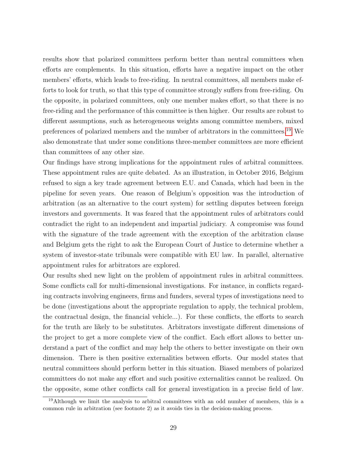results show that polarized committees perform better than neutral committees when efforts are complements. In this situation, efforts have a negative impact on the other members' efforts, which leads to free-riding. In neutral committees, all members make efforts to look for truth, so that this type of committee strongly suffers from free-riding. On the opposite, in polarized committees, only one member makes effort, so that there is no free-riding and the performance of this committee is then higher. Our results are robust to different assumptions, such as heterogeneous weights among committee members, mixed preferences of polarized members and the number of arbitrators in the committees.[19](#page-28-0) We also demonstrate that under some conditions three-member committees are more efficient than committees of any other size.

Our findings have strong implications for the appointment rules of arbitral committees. These appointment rules are quite debated. As an illustration, in October 2016, Belgium refused to sign a key trade agreement between E.U. and Canada, which had been in the pipeline for seven years. One reason of Belgium's opposition was the introduction of arbitration (as an alternative to the court system) for settling disputes between foreign investors and governments. It was feared that the appointment rules of arbitrators could contradict the right to an independent and impartial judiciary. A compromise was found with the signature of the trade agreement with the exception of the arbitration clause and Belgium gets the right to ask the European Court of Justice to determine whether a system of investor-state tribunals were compatible with EU law. In parallel, alternative appointment rules for arbitrators are explored.

Our results shed new light on the problem of appointment rules in arbitral committees. Some conflicts call for multi-dimensional investigations. For instance, in conflicts regarding contracts involving engineers, firms and funders, several types of investigations need to be done (investigations about the appropriate regulation to apply, the technical problem, the contractual design, the financial vehicle...). For these conflicts, the efforts to search for the truth are likely to be substitutes. Arbitrators investigate different dimensions of the project to get a more complete view of the conflict. Each effort allows to better understand a part of the conflict and may help the others to better investigate on their own dimension. There is then positive externalities between efforts. Our model states that neutral committees should perform better in this situation. Biased members of polarized committees do not make any effort and such positive externalities cannot be realized. On the opposite, some other conflicts call for general investigation in a precise field of law.

<span id="page-28-0"></span><sup>&</sup>lt;sup>19</sup>Although we limit the analysis to arbitral committees with an odd number of members, this is a common rule in arbitration (see footnote 2) as it avoids ties in the decision-making process.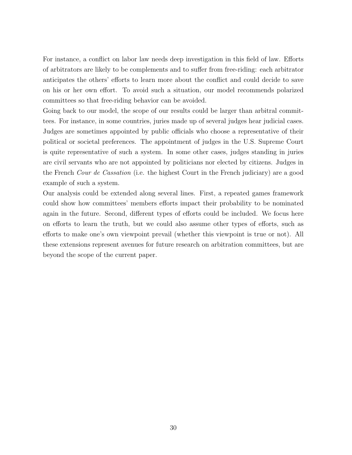For instance, a conflict on labor law needs deep investigation in this field of law. Efforts of arbitrators are likely to be complements and to suffer from free-riding: each arbitrator anticipates the others' efforts to learn more about the conflict and could decide to save on his or her own effort. To avoid such a situation, our model recommends polarized committees so that free-riding behavior can be avoided.

Going back to our model, the scope of our results could be larger than arbitral committees. For instance, in some countries, juries made up of several judges hear judicial cases. Judges are sometimes appointed by public officials who choose a representative of their political or societal preferences. The appointment of judges in the U.S. Supreme Court is quite representative of such a system. In some other cases, judges standing in juries are civil servants who are not appointed by politicians nor elected by citizens. Judges in the French Cour de Cassation (i.e. the highest Court in the French judiciary) are a good example of such a system.

Our analysis could be extended along several lines. First, a repeated games framework could show how committees' members efforts impact their probability to be nominated again in the future. Second, different types of efforts could be included. We focus here on efforts to learn the truth, but we could also assume other types of efforts, such as efforts to make one's own viewpoint prevail (whether this viewpoint is true or not). All these extensions represent avenues for future research on arbitration committees, but are beyond the scope of the current paper.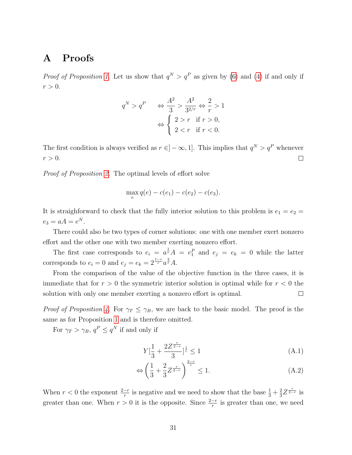### A Proofs

*Proof of Proposition [1.](#page-14-0)* Let us show that  $q^N > q^P$  as given by [\(6\)](#page-12-2) and [\(4\)](#page-11-2) if and only if  $r > 0$ .

$$
q^N > q^P \qquad \Leftrightarrow \frac{A^2}{3} > \frac{A^2}{3^{2/r}} \Leftrightarrow \frac{2}{r} > 1
$$

$$
\Leftrightarrow \begin{cases} 2 > r & \text{if } r > 0, \\ 2 < r & \text{if } r < 0. \end{cases}
$$

The first condition is always verified as  $r \in ]-\infty,1]$ . This implies that  $q^N > q^P$  whenever  $\Box$  $r > 0$ .

Proof of Proposition [2.](#page-14-1) The optimal levels of effort solve

$$
\max_{e} q(e) - c(e_1) - c(e_2) - c(e_3).
$$

It is straighforward to check that the fully interior solution to this problem is  $e_1 = e_2$  =  $e_3 = aA = e^N.$ 

There could also be two types of corner solutions: one with one member exert nonzero effort and the other one with two member exerting nonzero effort.

The first case corresponds to  $e_i = a^{\frac{1}{r}}A = e_1^P$  and  $e_j = e_k = 0$  while the latter corresponds to  $e_i = 0$  and  $e_j = e_k = 2^{\frac{1-r}{r}} a^{\frac{2}{r}} A$ .

From the comparison of the value of the objective function in the three cases, it is immediate that for  $r > 0$  the symmetric interior solution is optimal while for  $r < 0$  the solution with only one member exerting a nonzero effort is optimal.  $\Box$ 

*Proof of Proposition [4.](#page-22-0)* For  $\gamma_T \leq \gamma_B$ , we are back to the basic model. The proof is the same as for Proposition [1](#page-14-0) and is therefore omitted.

For  $\gamma_T > \gamma_B$ ,  $q^P \le q^N$  if and only if

$$
Y\left[\frac{1}{3} + \frac{2Z^{\frac{r}{2-r}}}{3}\right]^{\frac{1}{r}} \le 1\tag{A.1}
$$

$$
\Leftrightarrow \left(\frac{1}{3} + \frac{2}{3}Z^{\frac{r}{2-r}}\right)^{\frac{2-r}{r}} \le 1.
$$
\n(A.2)

When  $r < 0$  the exponent  $\frac{2-r}{r}$  is negative and we need to show that the base  $\frac{1}{3} + \frac{2}{3}$  $\frac{2}{3}Z^{\frac{r}{2-r}}$  is greater than one. When  $r > 0$  it is the opposite. Since  $\frac{2-r}{r}$  is greater than one, we need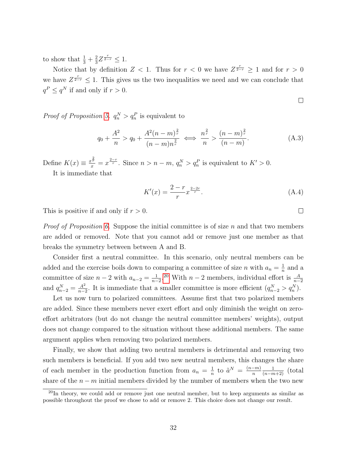to show that  $\frac{1}{3} + \frac{2}{3}$  $\frac{2}{3}Z^{\frac{r}{2-r}} \leq 1.$ 

Notice that by definition  $Z < 1$ . Thus for  $r < 0$  we have  $Z^{\frac{r}{2-r}} \geq 1$  and for  $r > 0$ we have  $Z^{\frac{r}{2-r}} \leq 1$ . This gives us the two inequalities we need and we can conclude that  $q^P \leq q^N$  if and only if  $r > 0$ .

$$
\qquad \qquad \Box
$$

 $\Box$ 

*Proof of Proposition [5.](#page-25-0)*  $q_n^N > q_n^P$  is equivalent to

$$
q_0 + \frac{A^2}{n} > q_0 + \frac{A^2(n-m)^{\frac{2}{r}}}{(n-m)n^{\frac{2}{r}}} \iff \frac{n^{\frac{2}{r}}}{n} > \frac{(n-m)^{\frac{2}{r}}}{(n-m)}.
$$
 (A.3)

Define  $K(x) \equiv \frac{x^{\frac{2}{r}}}{x} = x^{\frac{2-r}{r}}$ . Since  $n > n - m$ ,  $q_n^N > q_n^P$  is equivalent to  $K' > 0$ .

It is immediate that

$$
K'(x) = \frac{2 - r}{r} x^{\frac{2 - 2r}{r}}.
$$
\n(A.4)

This is positive if and only if  $r > 0$ .

*Proof of Proposition [6.](#page-27-1)* Suppose the initial committee is of size n and that two members are added or removed. Note that you cannot add or remove just one member as that breaks the symmetry between between A and B.

Consider first a neutral committee. In this scenario, only neutral members can be added and the exercise boils down to comparing a committee of size *n* with  $a_n = \frac{1}{n}$  $\frac{1}{n}$  and a committee of size  $n-2$  with  $a_{n-2} = \frac{1}{n-2}$  $\frac{1}{n-2}$ .<sup>[20](#page-31-0)</sup> With  $n-2$  members, individual effort is  $\frac{A}{n-2}$ and  $q_{n-2}^N = \frac{A^2}{n-2}$  $\frac{A^2}{n-2}$ . It is immediate that a smaller committee is more efficient  $(q_{n-2}^N > q_n^N)$ .

Let us now turn to polarized committees. Assume first that two polarized members are added. Since these members never exert effort and only diminish the weight on zeroeffort arbitrators (but do not change the neutral committee members' weights), output does not change compared to the situation without these additional members. The same argument applies when removing two polarized members.

Finally, we show that adding two neutral members is detrimental and removing two such members is beneficial. If you add two new neutral members, this changes the share of each member in the production function from  $a_n = \frac{1}{n}$  $\frac{1}{n}$  to  $\tilde{a}^N = \frac{(n-m)}{n}$ n  $\frac{1}{(n-m+2)}$  (total share of the  $n - m$  initial members divided by the number of members when the two new

<span id="page-31-0"></span> $^{20}$ In theory, we could add or remove just one neutral member, but to keep arguments as similar as possible throughout the proof we chose to add or remove 2. This choice does not change our result.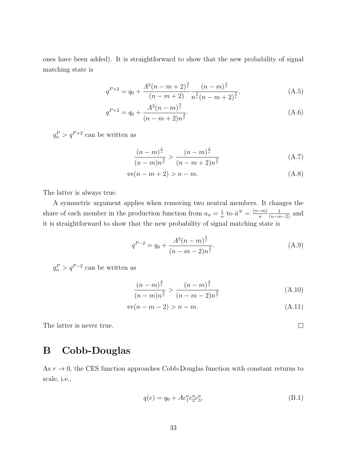ones have been added). It is straightforward to show that the new probability of signal matching state is

$$
q^{P+2} = q_0 + \frac{A^2(n-m+2)^{\frac{2}{r}}}{(n-m+2)} \frac{(n-m)^{\frac{2}{r}}}{n^{\frac{2}{r}}(n-m+2)^{\frac{2}{r}}},
$$
(A.5)

$$
q^{P+2} = q_0 + \frac{A^2(n-m)^{\frac{2}{r}}}{(n-m+2)n^{\frac{2}{r}}}.
$$
\n(A.6)

 $q_n^P > q^{P+2}$  can be written as

$$
\frac{(n-m)^{\frac{2}{r}}}{(n-m)n^{\frac{2}{r}}} > \frac{(n-m)^{\frac{2}{r}}}{(n-m+2)n^{\frac{2}{r}}}
$$
(A.7)

$$
\Leftrightarrow (n - m + 2) > n - m. \tag{A.8}
$$

The latter is always true.

A symmetric argument applies when removing two neutral members. It changes the share of each member in the production function from  $a_n = \frac{1}{n}$  $\frac{1}{n}$  to  $\tilde{a}^N = \frac{(n-m)}{n}$ n  $\frac{1}{(n-m-2)}$  and it is straightforward to show that the new probability of signal matching state is

$$
q^{P-2} = q_0 + \frac{A^2(n-m)^{\frac{2}{r}}}{(n-m-2)n^{\frac{2}{r}}}.
$$
\n(A.9)

 $q_n^P > q^{P-2}$  can be written as

$$
\frac{(n-m)^{\frac{2}{r}}}{(n-m)n^{\frac{2}{r}}} > \frac{(n-m)^{\frac{2}{r}}}{(n-m-2)n^{\frac{2}{r}}}
$$
(A.10)

$$
\Leftrightarrow (n-m-2) > n-m. \tag{A.11}
$$

 $\Box$ 

The latter is never true.

# <span id="page-32-0"></span>B Cobb-Douglas

As  $r \to 0$ , the CES function approaches Cobb-Douglas function with constant returns to scale, i.e.,

$$
q(e) = q_0 + A e_1^a e_2^a e_3^a,
$$
 (B.1)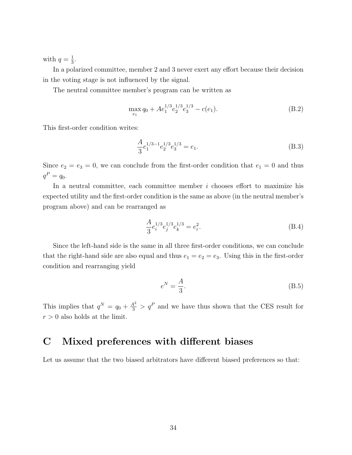with  $q=\frac{1}{3}$  $\frac{1}{3}$ .

In a polarized committee, member 2 and 3 never exert any effort because their decision in the voting stage is not influenced by the signal.

The neutral committee member's program can be written as

$$
\max_{e_1} q_0 + A e_1^{1/3} e_2^{1/3} e_3^{1/3} - c(e_1). \tag{B.2}
$$

This first-order condition writes:

$$
\frac{A}{3}e_1^{1/3-1}e_2^{1/3}e_3^{1/3} = e_1.
$$
\n(B.3)

Since  $e_2 = e_3 = 0$ , we can conclude from the first-order condition that  $e_1 = 0$  and thus  $q^{P} = q_{0}.$ 

In a neutral committee, each committee member  $i$  chooses effort to maximize his expected utility and the first-order condition is the same as above (in the neutral member's program above) and can be rearranged as

$$
\frac{A}{3}e_i^{1/3}e_j^{1/3}e_k^{1/3} = e_i^2.
$$
\n(B.4)

Since the left-hand side is the same in all three first-order conditions, we can conclude that the right-hand side are also equal and thus  $e_1 = e_2 = e_3$ . Using this in the first-order condition and rearranging yield

$$
e^N = \frac{A}{3}.\tag{B.5}
$$

This implies that  $q^N = q_0 + \frac{A^2}{3} > q^P$  and we have thus shown that the CES result for  $r > 0$  also holds at the limit.

# C Mixed preferences with different biases

Let us assume that the two biased arbitrators have different biased preferences so that: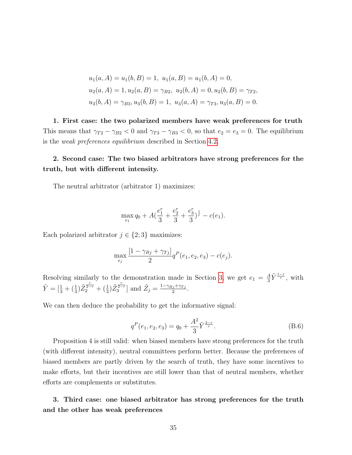$$
u_1(a, A) = u_1(b, B) = 1, u_1(a, B) = u_1(b, A) = 0,
$$
  
\n
$$
u_2(a, A) = 1, u_2(a, B) = \gamma_{B2}, u_2(b, A) = 0, u_2(b, B) = \gamma_{T2},
$$
  
\n
$$
u_3(b, A) = \gamma_{B3}, u_3(b, B) = 1, u_3(a, A) = \gamma_{T3}, u_3(a, B) = 0.
$$

1. First case: the two polarized members have weak preferences for truth This means that  $\gamma_{T2} - \gamma_{B2} < 0$  and  $\gamma_{T3} - \gamma_{B3} < 0$ , so that  $e_2 = e_3 = 0$ . The equilibrium is the weak preferences equilibrium described in Section [4.2.](#page-18-0)

### 2. Second case: The two biased arbitrators have strong preferences for the truth, but with different intensity.

The neutral arbitrator (arbitrator 1) maximizes:

$$
\max_{e_1} q_0 + A\left(\frac{e_1^r}{3} + \frac{e_2^r}{3} + \frac{e_3^r}{3}\right)^{\frac{1}{r}} - c(e_1).
$$

Each polarized arbitrator  $j \in \{2,3\}$  maximizes:

$$
\max_{e_j} \frac{[1 - \gamma_{Bj} + \gamma_{Tj}]}{2} q^P(e_1, e_2, e_3) - c(e_j).
$$

Resolving similarly to the demonstration made in Section [3,](#page-9-0) we get  $e_1 = \frac{A}{3}$  $\frac{A}{3}\tilde{Y}^{\frac{1-r}{r}},$  with  $\tilde{Y} = \left[\frac{1}{3} + \left(\frac{1}{3}\right)\tilde{Z}_2^{\frac{r}{2-r}} + \left(\frac{1}{3}\right)\tilde{Z}_3^{\frac{r}{2-r}}\right]$  and  $\tilde{Z}_j = \frac{1 - \gamma_{Bj} + \gamma_{Tj}}{2}$  $\frac{j+\gamma T j}{2}$  .

We can then deduce the probability to get the informative signal:

$$
q^{P}(e_1, e_2, e_3) = q_0 + \frac{A^2}{3} \tilde{Y}^{\frac{2-r}{r}}.
$$
\n(B.6)

Proposition 4 is still valid: when biased members have strong preferences for the truth (with different intensity), neutral committees perform better. Because the preferences of biased members are partly driven by the search of truth, they have some incentives to make efforts, but their incentives are still lower than that of neutral members, whether efforts are complements or substitutes.

3. Third case: one biased arbitrator has strong preferences for the truth and the other has weak preferences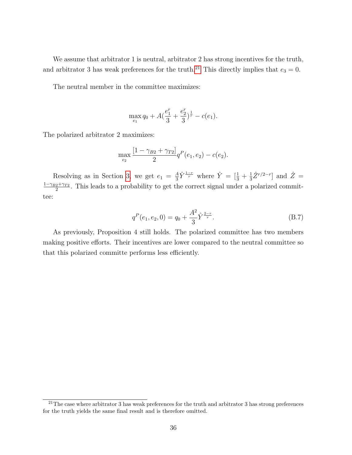We assume that arbitrator 1 is neutral, arbitrator 2 has strong incentives for the truth, and arbitrator 3 has weak preferences for the truth.<sup>[21](#page-35-0)</sup> This directly implies that  $e_3 = 0$ .

The neutral member in the committee maximizes:

$$
\max_{e_1} q_0 + A\left(\frac{e_1^r}{3} + \frac{e_2^r}{3}\right)^{\frac{1}{r}} - c(e_1).
$$

The polarized arbitrator 2 maximizes:

$$
\max_{e_2} \frac{[1 - \gamma_{B2} + \gamma_{T2}]}{2} q^P(e_1, e_2) - c(e_2).
$$

Resolving as in Section [3,](#page-9-0) we get  $e_1 = \frac{A}{3}$  $\frac{A}{3}\hat{Y}^{\frac{1-r}{r}}$  where  $\hat{Y} = \left[\frac{1}{3} + \frac{1}{3}\right]$  $\frac{1}{3}\hat{Z}^{r/2-r}$  and  $\hat{Z} =$  $1-\gamma_{B2}+\gamma_{T2}$  $\frac{2^{2+\gamma_{T2}}}{2}$ . This leads to a probability to get the correct signal under a polarized committee:

$$
q^{P}(e_1, e_2, 0) = q_0 + \frac{A^2}{3} \hat{Y}^{\frac{2-r}{r}}.
$$
 (B.7)

As previously, Proposition 4 still holds. The polarized committee has two members making positive efforts. Their incentives are lower compared to the neutral committee so that this polarized committe performs less efficiently.

<span id="page-35-0"></span> $\frac{21}{10}$ The case where arbitrator 3 has weak preferences for the truth and arbitrator 3 has strong preferences for the truth yields the same final result and is therefore omitted.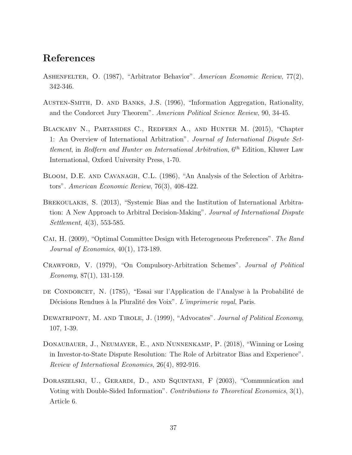# References

- <span id="page-36-4"></span>ASHENFELTER, O. (1987), "Arbitrator Behavior". American Economic Review, 77(2), 342-346.
- <span id="page-36-6"></span>Austen-Smith, D. and Banks, J.S. (1996), "Information Aggregation, Rationality, and the Condorcet Jury Theorem". American Political Science Review, 90, 34-45.
- <span id="page-36-0"></span>Blackaby N., Partasides C., Redfern A., and Hunter M. (2015), "Chapter 1: An Overview of International Arbitration". Journal of International Dispute Settlement, in Redfern and Hunter on International Arbitration,  $6^{th}$  Edition, Kluwer Law International, Oxford University Press, 1-70.
- <span id="page-36-2"></span>Bloom, D.E. and Cavanagh, C.L. (1986), "An Analysis of the Selection of Arbitrators". American Economic Review, 76(3), 408-422.
- <span id="page-36-1"></span>Brekoulakis, S. (2013), "Systemic Bias and the Institution of International Arbitration: A New Approach to Arbitral Decision-Making". Journal of International Dispute Settlement, 4(3), 553-585.
- <span id="page-36-8"></span>Cai, H. (2009), "Optimal Committee Design with Heterogeneous Preferences". The Rand Journal of Economics, 40(1), 173-189.
- <span id="page-36-10"></span>Crawford, V. (1979), "On Compulsory-Arbitration Schemes". Journal of Political Economy, 87(1), 131-159.
- <span id="page-36-5"></span>de Condorcet, N. (1785), "Essai sur l'Application de l'Analyse à la Probabilité de Décisions Rendues à la Pluralité des Voix". L'imprimerie royal, Paris.
- <span id="page-36-7"></span>DEWATRIPONT, M. AND TIROLE, J. (1999), "Advocates". Journal of Political Economy, 107, 1-39.
- <span id="page-36-3"></span>Donaubauer, J., Neumayer, E., and Nunnenkamp, P. (2018), "Winning or Losing in Investor-to-State Dispute Resolution: The Role of Arbitrator Bias and Experience". Review of International Economics, 26(4), 892-916.
- <span id="page-36-9"></span>Doraszelski, U., Gerardi, D., and Squintani, F (2003), "Communication and Voting with Double-Sided Information". Contributions to Theoretical Economics, 3(1), Article 6.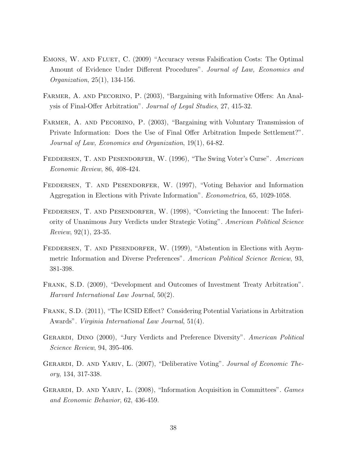- <span id="page-37-10"></span>Emons, W. and Fluet, C. (2009) "Accuracy versus Falsification Costs: The Optimal Amount of Evidence Under Different Procedures". Journal of Law, Economics and Organization, 25(1), 134-156.
- <span id="page-37-7"></span>FARMER, A. AND PECORINO, P. (2003), "Bargaining with Informative Offers: An Analysis of Final-Offer Arbitration". Journal of Legal Studies, 27, 415-32.
- <span id="page-37-8"></span>FARMER, A. AND PECORINO, P. (2003), "Bargaining with Voluntary Transmission of Private Information: Does the Use of Final Offer Arbitration Impede Settlement?". Journal of Law, Economics and Organization, 19(1), 64-82.
- <span id="page-37-0"></span>FEDDERSEN, T. AND PESENDORFER, W. (1996), "The Swing Voter's Curse". American Economic Review, 86, 408-424.
- <span id="page-37-2"></span>FEDDERSEN, T. AND PESENDORFER, W. (1997), "Voting Behavior and Information Aggregation in Elections with Private Information". Econometrica, 65, 1029-1058.
- <span id="page-37-5"></span>FEDDERSEN, T. AND PESENDORFER, W. (1998), "Convicting the Innocent: The Inferiority of Unanimous Jury Verdicts under Strategic Voting". American Political Science Review, 92(1), 23-35.
- <span id="page-37-1"></span>FEDDERSEN, T. AND PESENDORFER, W. (1999), "Abstention in Elections with Asymmetric Information and Diverse Preferences". American Political Science Review, 93, 381-398.
- <span id="page-37-9"></span>Frank, S.D. (2009), "Development and Outcomes of Investment Treaty Arbitration". Harvard International Law Journal, 50(2).
- Frank, S.D. (2011), "The ICSID Effect? Considering Potential Variations in Arbitration Awards". Virginia International Law Journal, 51(4).
- <span id="page-37-3"></span>Gerardi, Dino (2000), "Jury Verdicts and Preference Diversity". American Political Science Review, 94, 395-406.
- <span id="page-37-6"></span>GERARDI, D. AND YARIV, L. (2007), "Deliberative Voting". Journal of Economic Theory, 134, 317-338.
- <span id="page-37-4"></span>GERARDI, D. AND YARIV, L. (2008), "Information Acquisition in Committees". Games and Economic Behavior, 62, 436-459.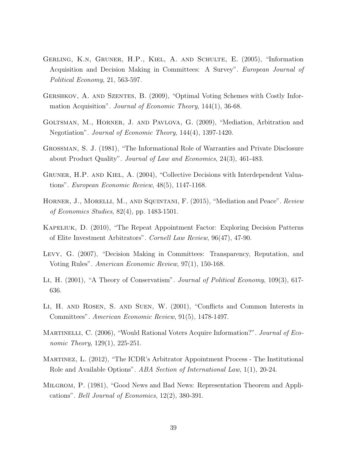- <span id="page-38-7"></span>Gerling, K.n, Gruner, H.P., Kiel, A. and Schulte, E. (2005), "Information Acquisition and Decision Making in Committees: A Survey". European Journal of Political Economy, 21, 563-597.
- <span id="page-38-3"></span>Gershkov, A. and Szentes, B. (2009), "Optimal Voting Schemes with Costly Information Acquisition". *Journal of Economic Theory*, 144(1), 36-68.
- <span id="page-38-8"></span>Goltsman, M., Horner, J. and Pavlova, G. (2009), "Mediation, Arbitration and Negotiation". Journal of Economic Theory, 144(4), 1397-1420.
- <span id="page-38-12"></span>Grossman, S. J. (1981), "The Informational Role of Warranties and Private Disclosure about Product Quality". Journal of Law and Economics, 24(3), 461-483.
- <span id="page-38-4"></span>Gruner, H.P. and Kiel, A. (2004), "Collective Decisions with Interdependent Valuations". European Economic Review, 48(5), 1147-1168.
- <span id="page-38-9"></span>HORNER, J., MORELLI, M., AND SQUINTANI, F. (2015), "Mediation and Peace". Review of Economics Studies, 82(4), pp. 1483-1501.
- <span id="page-38-10"></span>Kapeliuk, D. (2010), "The Repeat Appointment Factor: Exploring Decision Patterns of Elite Investment Arbitrators". Cornell Law Review, 96(47), 47-90.
- <span id="page-38-1"></span>Levy, G. (2007), "Decision Making in Committees: Transparency, Reputation, and Voting Rules". American Economic Review, 97(1), 150-168.
- <span id="page-38-6"></span>Li, H. (2001), "A Theory of Conservatism". Journal of Political Economy, 109(3), 617- 636.
- <span id="page-38-5"></span>Li, H. and Rosen, S. and Suen, W. (2001), "Conflicts and Common Interests in Committees". American Economic Review, 91(5), 1478-1497.
- <span id="page-38-2"></span>MARTINELLI, C. (2006), "Would Rational Voters Acquire Information?". Journal of Economic Theory, 129(1), 225-251.
- <span id="page-38-0"></span>Martinez, L. (2012), "The ICDR's Arbitrator Appointment Process - The Institutional Role and Available Options". ABA Section of International Law, 1(1), 20-24.
- <span id="page-38-11"></span>Milgrom, P. (1981), "Good News and Bad News: Representation Theorem and Applications". Bell Journal of Economics, 12(2), 380-391.